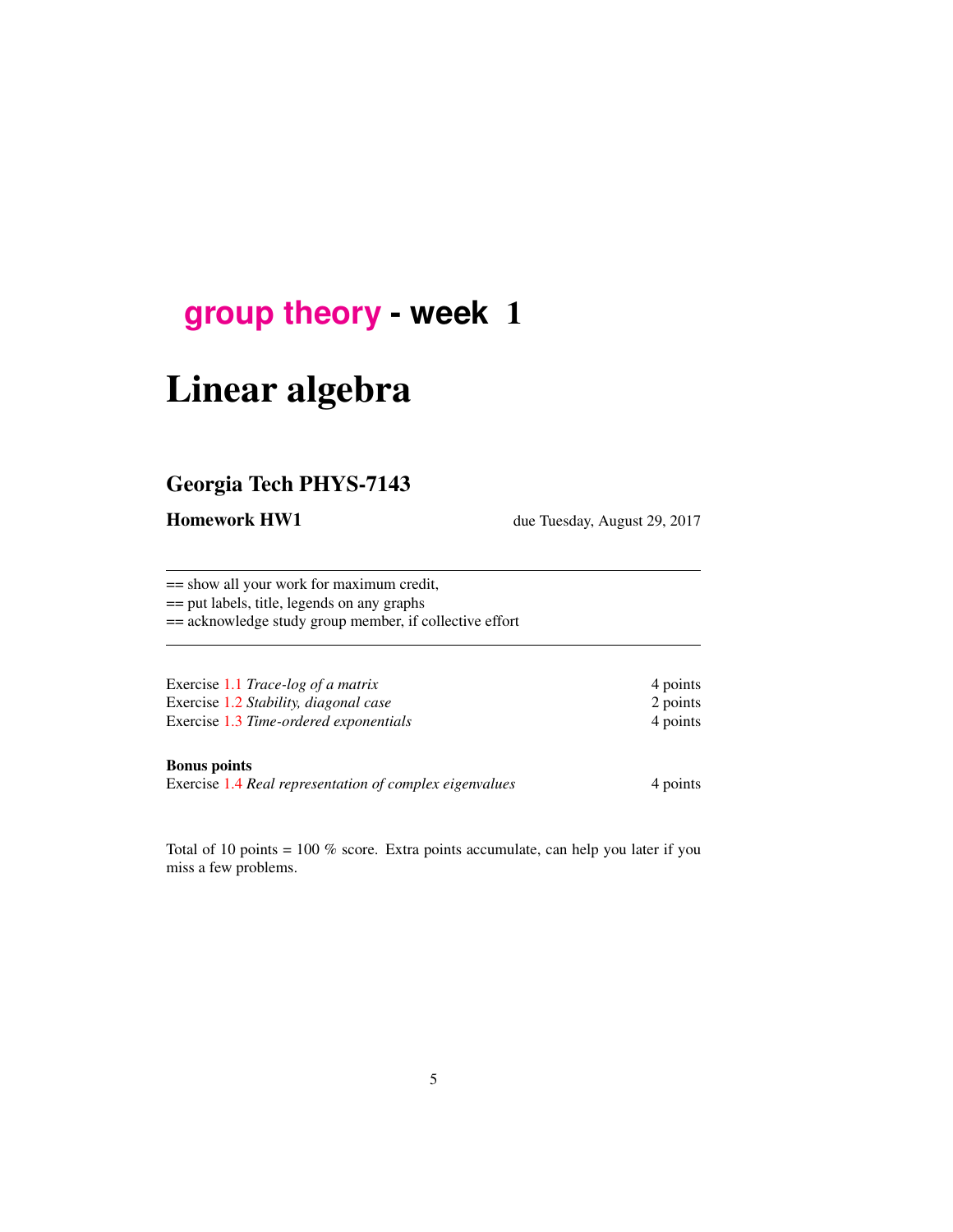## **[group theory](http://birdtracks.eu/courses/PHYS-7143-17/schedule.html) - week** 1

# Linear algebra

## Georgia Tech PHYS-7143

Homework HW1 due Tuesday, August 29, 2017

== show all your work for maximum credit, == put labels, title, legends on any graphs

== acknowledge study group member, if collective effort

| Exercise 1.1 Trace-log of a matrix     | 4 points |
|----------------------------------------|----------|
| Exercise 1.2 Stability, diagonal case  | 2 points |
| Exercise 1.3 Time-ordered exponentials | 4 points |

#### Bonus points

Exercise 1.4 *Real representation of complex eigenvalues* 4 points

Total of 10 points = 100 % score. Extra points accumulate, can help you later if you miss a few problems.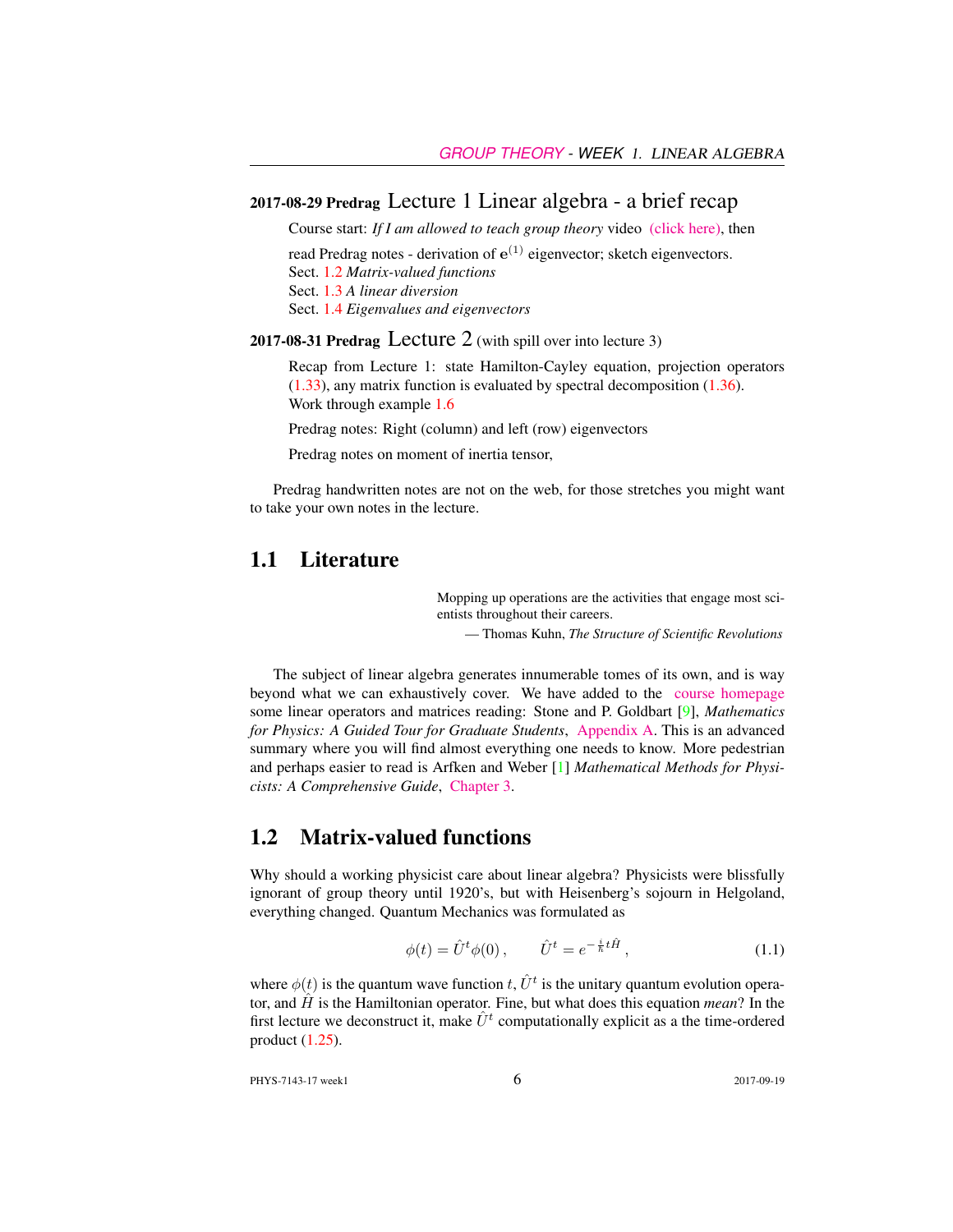#### 2017-08-29 Predrag Lecture 1 Linear algebra - a brief recap

Course start: *If I am allowed to teach group theory* video [\(click here\),](https://www.youtube.com/embed/k7Fakf51jGQ) then

read Predrag notes - derivation of  $e^{(1)}$  eigenvector; sketch eigenvectors. Sect. 1.2 *Matrix-valued functions* Sect. 1.3 *A linear diversion* Sect. 1.4 *Eigenvalues and eigenvectors*

2017-08-31 Predrag Lecture 2 (with spill over into lecture 3)

Recap from Lecture 1: state Hamilton-Cayley equation, projection operators (1.33), any matrix function is evaluated by spectral decomposition (1.36). Work through example 1.6

Predrag notes: Right (column) and left (row) eigenvectors

Predrag notes on moment of inertia tensor,

Predrag handwritten notes are not on the web, for those stretches you might want to take your own notes in the lecture.

## 1.1 Literature

Mopping up operations are the activities that engage most scientists throughout their careers.

— Thomas Kuhn, *The Structure of Scientific Revolutions*

The subject of linear algebra generates innumerable tomes of its own, and is way beyond what we can exhaustively cover. We have added to the [course homepage](http://birdtracks.eu/courses/PHYS-7143-17/schedule.html) some linear operators and matrices reading: Stone and P. Goldbart [9], *Mathematics for Physics: A Guided Tour for Graduate Students*, [Appendix A.](http://birdtracks.eu/courses/PHYS-7143-17/StGoAppA.pdf) This is an advanced summary where you will find almost everything one needs to know. More pedestrian and perhaps easier to read is Arfken and Weber [1] *Mathematical Methods for Physicists: A Comprehensive Guide*, [Chapter 3.](http://birdtracks.eu/courses/PHYS-7143-17/ArWe05chap3.pdf)

#### 1.2 Matrix-valued functions

Why should a working physicist care about linear algebra? Physicists were blissfully ignorant of group theory until 1920's, but with Heisenberg's sojourn in Helgoland, everything changed. Quantum Mechanics was formulated as

$$
\phi(t) = \hat{U}^t \phi(0), \qquad \hat{U}^t = e^{-\frac{i}{\hbar}t\hat{H}}, \tag{1.1}
$$

where  $\phi(t)$  is the quantum wave function t,  $\hat{U}^t$  is the unitary quantum evolution operator, and  $\hat{H}$  is the Hamiltonian operator. Fine, but what does this equation *mean*? In the first lecture we deconstruct it, make  $\hat{U}^t$  computationally explicit as a the time-ordered product (1.25).

PHYS-7143-17 week1 6 2017-09-19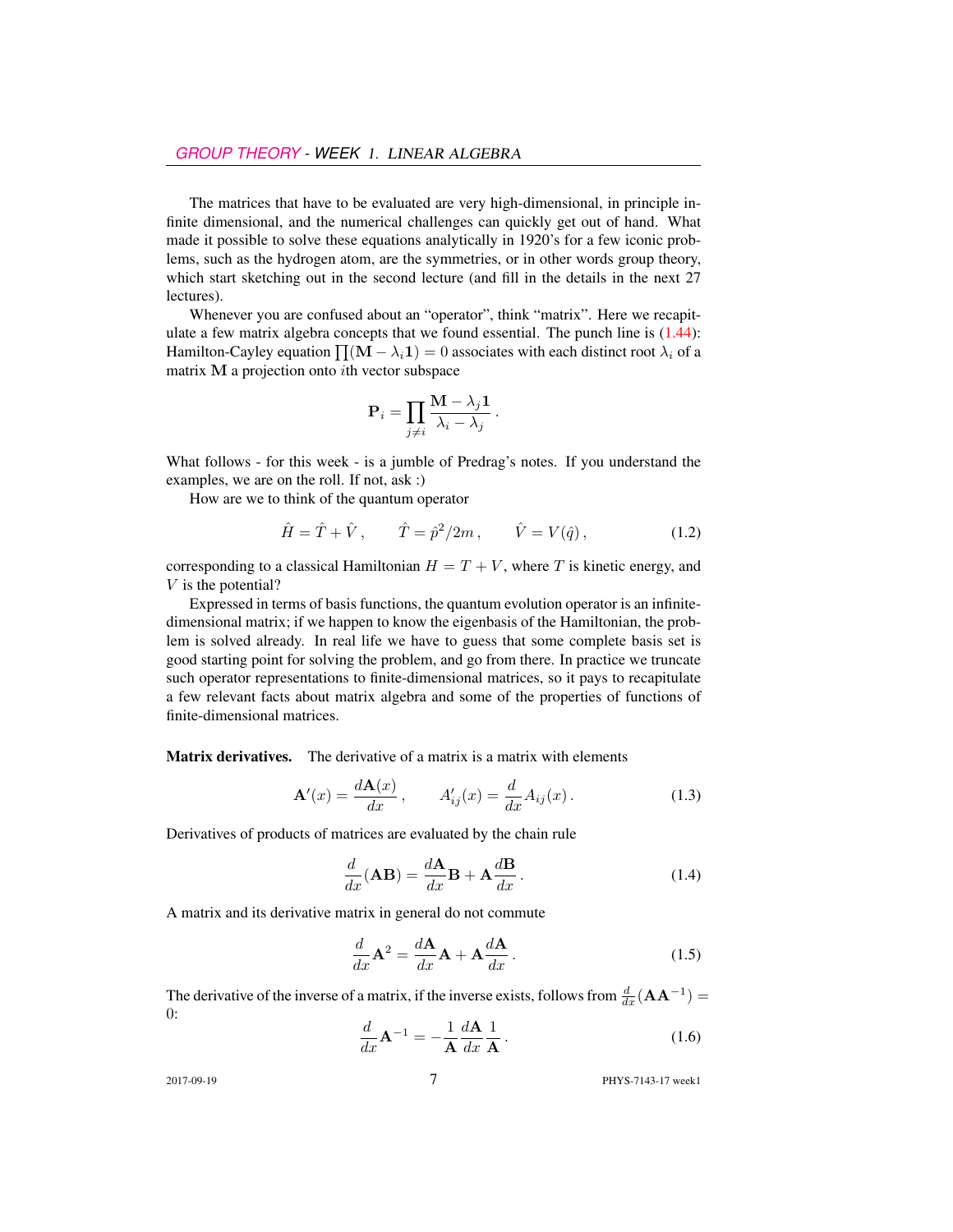The matrices that have to be evaluated are very high-dimensional, in principle infinite dimensional, and the numerical challenges can quickly get out of hand. What made it possible to solve these equations analytically in 1920's for a few iconic problems, such as the hydrogen atom, are the symmetries, or in other words group theory, which start sketching out in the second lecture (and fill in the details in the next 27 lectures).

Whenever you are confused about an "operator", think "matrix". Here we recapitulate a few matrix algebra concepts that we found essential. The punch line is (1.44): Hamilton-Cayley equation  $\prod (M - \lambda_i 1) = 0$  associates with each distinct root  $\lambda_i$  of a matrix M a projection onto ith vector subspace

$$
\mathbf{P}_i = \prod_{j \neq i} \frac{\mathbf{M} - \lambda_j \mathbf{1}}{\lambda_i - \lambda_j}.
$$

What follows - for this week - is a jumble of Predrag's notes. If you understand the examples, we are on the roll. If not, ask :)

How are we to think of the quantum operator

$$
\hat{H} = \hat{T} + \hat{V}, \qquad \hat{T} = \hat{p}^2 / 2m, \qquad \hat{V} = V(\hat{q}),
$$
\n(1.2)

corresponding to a classical Hamiltonian  $H = T + V$ , where T is kinetic energy, and V is the potential?

Expressed in terms of basis functions, the quantum evolution operator is an infinitedimensional matrix; if we happen to know the eigenbasis of the Hamiltonian, the problem is solved already. In real life we have to guess that some complete basis set is good starting point for solving the problem, and go from there. In practice we truncate such operator representations to finite-dimensional matrices, so it pays to recapitulate a few relevant facts about matrix algebra and some of the properties of functions of finite-dimensional matrices.

Matrix derivatives. The derivative of a matrix is a matrix with elements

$$
\mathbf{A}'(x) = \frac{d\mathbf{A}(x)}{dx}, \qquad A'_{ij}(x) = \frac{d}{dx}A_{ij}(x). \tag{1.3}
$$

Derivatives of products of matrices are evaluated by the chain rule

$$
\frac{d}{dx}(\mathbf{AB}) = \frac{d\mathbf{A}}{dx}\mathbf{B} + \mathbf{A}\frac{d\mathbf{B}}{dx}.
$$
\n(1.4)

A matrix and its derivative matrix in general do not commute

$$
\frac{d}{dx}\mathbf{A}^2 = \frac{d\mathbf{A}}{dx}\mathbf{A} + \mathbf{A}\frac{d\mathbf{A}}{dx}.
$$
 (1.5)

The derivative of the inverse of a matrix, if the inverse exists, follows from  $\frac{d}{dx}(\mathbf{A}\mathbf{A}^{-1}) =$ 0:

$$
\frac{d}{dx}\mathbf{A}^{-1} = -\frac{1}{\mathbf{A}}\frac{d\mathbf{A}}{dx}\frac{1}{\mathbf{A}}.
$$
\n(1.6)

2017-09-19 7 PHYS-7143-17 week1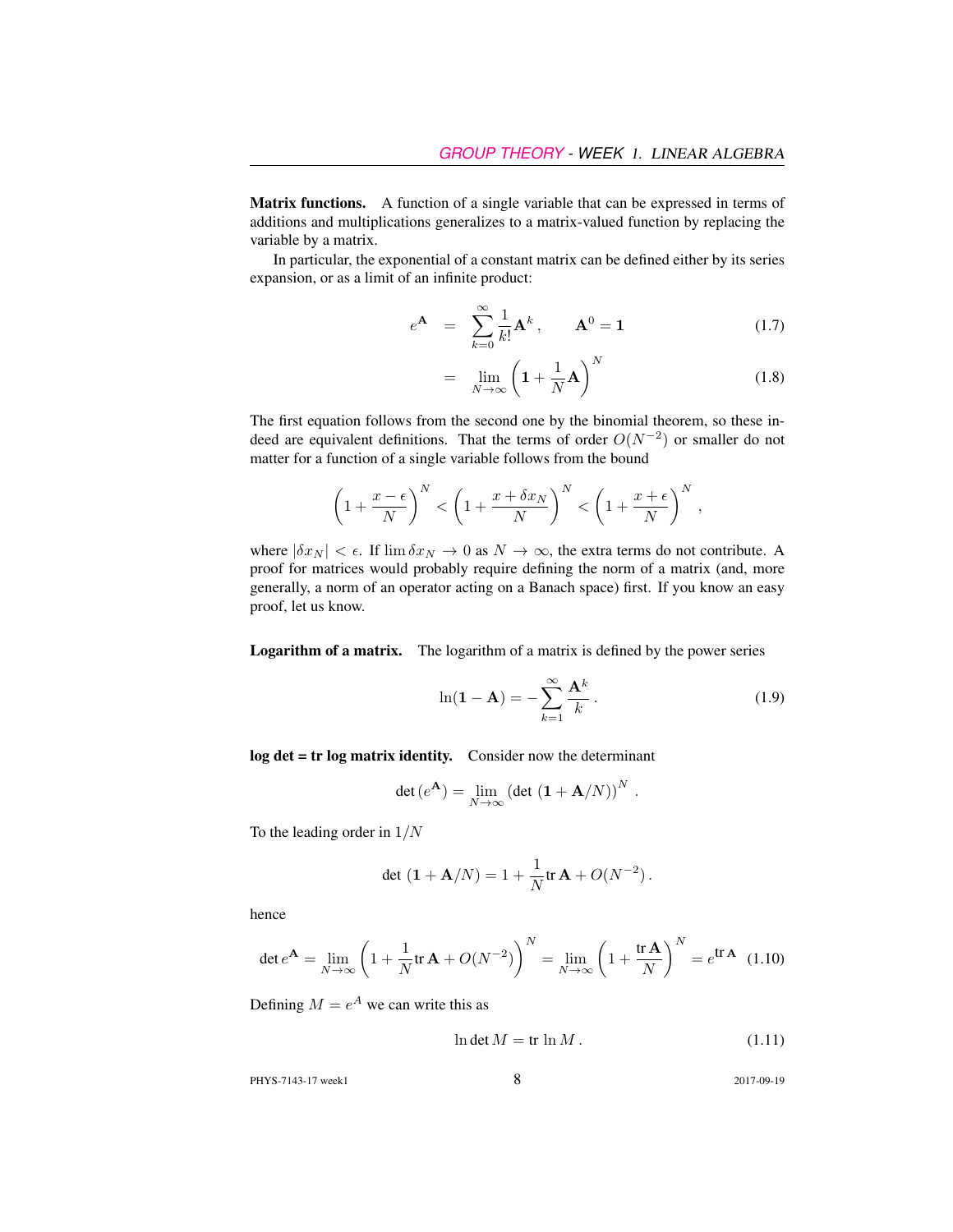Matrix functions. A function of a single variable that can be expressed in terms of additions and multiplications generalizes to a matrix-valued function by replacing the variable by a matrix.

In particular, the exponential of a constant matrix can be defined either by its series expansion, or as a limit of an infinite product:

$$
e^{\mathbf{A}} = \sum_{k=0}^{\infty} \frac{1}{k!} \mathbf{A}^{k}, \qquad \mathbf{A}^{0} = \mathbf{1}
$$
 (1.7)

$$
= \lim_{N \to \infty} \left( 1 + \frac{1}{N} \mathbf{A} \right)^N \tag{1.8}
$$

The first equation follows from the second one by the binomial theorem, so these indeed are equivalent definitions. That the terms of order  $O(N^{-2})$  or smaller do not matter for a function of a single variable follows from the bound

$$
\left(1+\frac{x-\epsilon}{N}\right)^N < \left(1+\frac{x+\delta x_N}{N}\right)^N < \left(1+\frac{x+\epsilon}{N}\right)^N,
$$

where  $|\delta x_N| < \epsilon$ . If  $\lim \delta x_N \to 0$  as  $N \to \infty$ , the extra terms do not contribute. A proof for matrices would probably require defining the norm of a matrix (and, more generally, a norm of an operator acting on a Banach space) first. If you know an easy proof, let us know.

Logarithm of a matrix. The logarithm of a matrix is defined by the power series

$$
\ln(\mathbf{1} - \mathbf{A}) = -\sum_{k=1}^{\infty} \frac{\mathbf{A}^k}{k}.
$$
 (1.9)

log det = tr log matrix identity. Consider now the determinant

$$
\det(e^{\mathbf{A}}) = \lim_{N \to \infty} \left( \det \left( \mathbf{1} + \mathbf{A}/N \right) \right)^N.
$$

To the leading order in 1/N

$$
\det\;({\bf 1}+{\bf A}/N)=1+\frac{1}{N}\text{tr}\,{\bf A}+O(N^{-2})\,.
$$

hence

$$
\det e^{\mathbf{A}} = \lim_{N \to \infty} \left( 1 + \frac{1}{N} \text{tr} \, \mathbf{A} + O(N^{-2}) \right)^N = \lim_{N \to \infty} \left( 1 + \frac{\text{tr} \, \mathbf{A}}{N} \right)^N = e^{\text{tr} \, \mathbf{A}} \tag{1.10}
$$

Defining  $M = e^A$  we can write this as

$$
\ln \det M = \text{tr} \ln M. \tag{1.11}
$$

PHYS-7143-17 week1 8 2017-09-19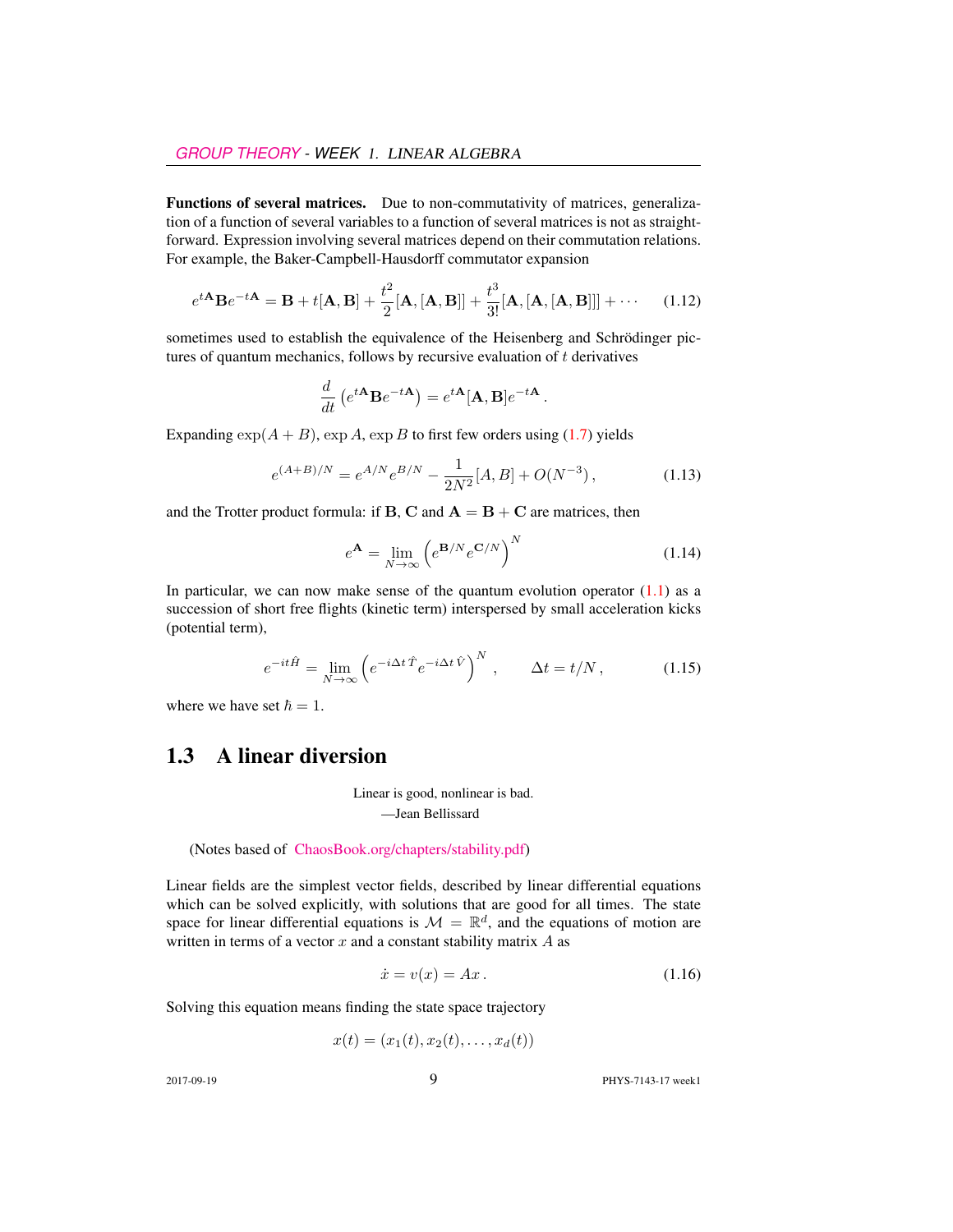Functions of several matrices. Due to non-commutativity of matrices, generalization of a function of several variables to a function of several matrices is not as straightforward. Expression involving several matrices depend on their commutation relations. For example, the Baker-Campbell-Hausdorff commutator expansion

$$
e^{t\mathbf{A}}\mathbf{B}e^{-t\mathbf{A}} = \mathbf{B} + t[\mathbf{A}, \mathbf{B}] + \frac{t^2}{2}[\mathbf{A}, [\mathbf{A}, \mathbf{B}]] + \frac{t^3}{3!}[\mathbf{A}, [\mathbf{A}, [\mathbf{A}, \mathbf{B}]]] + \cdots \quad (1.12)
$$

sometimes used to establish the equivalence of the Heisenberg and Schrödinger pictures of quantum mechanics, follows by recursive evaluation of  $t$  derivatives

$$
\frac{d}{dt}\left(e^{t\mathbf{A}}\mathbf{B}e^{-t\mathbf{A}}\right) = e^{t\mathbf{A}}[\mathbf{A},\mathbf{B}]e^{-t\mathbf{A}}.
$$

Expanding  $\exp(A + B)$ ,  $\exp A$ ,  $\exp B$  to first few orders using (1.7) yields

$$
e^{(A+B)/N} = e^{A/N} e^{B/N} - \frac{1}{2N^2} [A, B] + O(N^{-3}), \qquad (1.13)
$$

and the Trotter product formula: if **B**, **C** and  $A = B + C$  are matrices, then

$$
e^{\mathbf{A}} = \lim_{N \to \infty} \left( e^{\mathbf{B}/N} e^{\mathbf{C}/N} \right)^N \tag{1.14}
$$

In particular, we can now make sense of the quantum evolution operator  $(1.1)$  as a succession of short free flights (kinetic term) interspersed by small acceleration kicks (potential term),

$$
e^{-it\hat{H}} = \lim_{N \to \infty} \left( e^{-i\Delta t \hat{T}} e^{-i\Delta t \hat{V}} \right)^N, \qquad \Delta t = t/N, \qquad (1.15)
$$

where we have set  $\hbar = 1$ .

## 1.3 A linear diversion

Linear is good, nonlinear is bad. —Jean Bellissard

(Notes based of [ChaosBook.org/chapters/stability.pdf\)](http://ChaosBook.org/chapters/stability.pdf)

Linear fields are the simplest vector fields, described by linear differential equations which can be solved explicitly, with solutions that are good for all times. The state space for linear differential equations is  $\mathcal{M} = \mathbb{R}^d$ , and the equations of motion are written in terms of a vector  $x$  and a constant stability matrix  $A$  as

$$
\dot{x} = v(x) = Ax. \tag{1.16}
$$

Solving this equation means finding the state space trajectory

$$
x(t) = (x_1(t), x_2(t), \dots, x_d(t))
$$

2017-09-19 **9** PHYS-7143-17 week1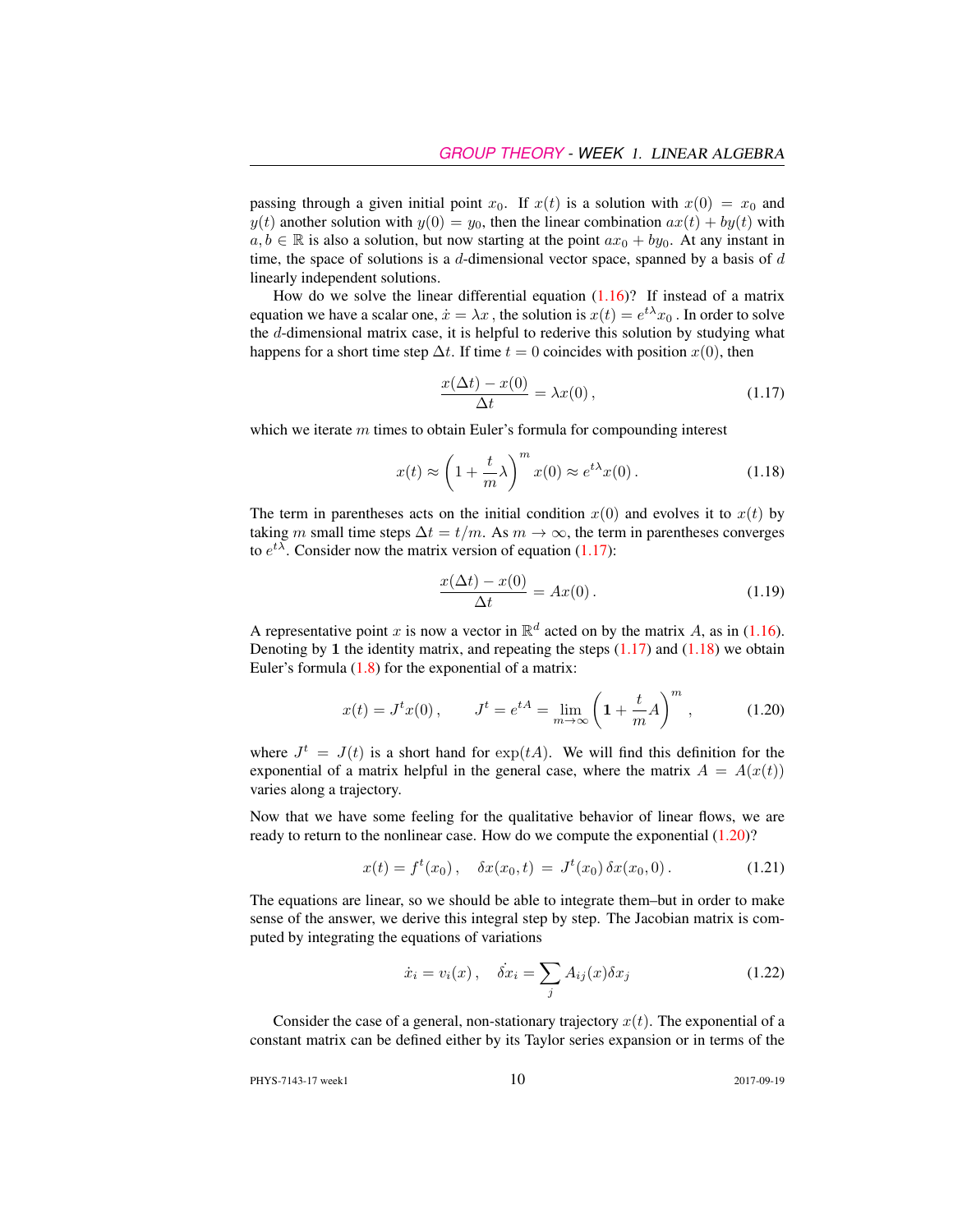passing through a given initial point  $x_0$ . If  $x(t)$  is a solution with  $x(0) = x_0$  and  $y(t)$  another solution with  $y(0) = y_0$ , then the linear combination  $ax(t) + by(t)$  with  $a, b \in \mathbb{R}$  is also a solution, but now starting at the point  $ax_0 + by_0$ . At any instant in time, the space of solutions is a  $d$ -dimensional vector space, spanned by a basis of  $d$ linearly independent solutions.

How do we solve the linear differential equation  $(1.16)$ ? If instead of a matrix equation we have a scalar one,  $\dot{x} = \lambda x$  , the solution is  $x(t) = e^{t\lambda}x_0$  . In order to solve the d-dimensional matrix case, it is helpful to rederive this solution by studying what happens for a short time step  $\Delta t$ . If time  $t = 0$  coincides with position  $x(0)$ , then

$$
\frac{x(\Delta t) - x(0)}{\Delta t} = \lambda x(0),\tag{1.17}
$$

which we iterate m times to obtain Euler's formula for compounding interest

$$
x(t) \approx \left(1 + \frac{t}{m}\lambda\right)^m x(0) \approx e^{t\lambda} x(0).
$$
 (1.18)

The term in parentheses acts on the initial condition  $x(0)$  and evolves it to  $x(t)$  by taking m small time steps  $\Delta t = t/m$ . As  $m \to \infty$ , the term in parentheses converges to  $e^{t\lambda}$ . Consider now the matrix version of equation (1.17):

$$
\frac{x(\Delta t) - x(0)}{\Delta t} = Ax(0). \tag{1.19}
$$

A representative point x is now a vector in  $\mathbb{R}^d$  acted on by the matrix A, as in (1.16). Denoting by 1 the identity matrix, and repeating the steps  $(1.17)$  and  $(1.18)$  we obtain Euler's formula (1.8) for the exponential of a matrix:

$$
x(t) = J^t x(0)
$$
,  $J^t = e^{tA} = \lim_{m \to \infty} \left( 1 + \frac{t}{m} A \right)^m$ , (1.20)

where  $J^t = J(t)$  is a short hand for  $exp(tA)$ . We will find this definition for the exponential of a matrix helpful in the general case, where the matrix  $A = A(x(t))$ varies along a trajectory.

Now that we have some feeling for the qualitative behavior of linear flows, we are ready to return to the nonlinear case. How do we compute the exponential (1.20)?

$$
x(t) = ft(x0), \quad \delta x(x0, t) = Jt(x0) \delta x(x0, 0).
$$
 (1.21)

The equations are linear, so we should be able to integrate them–but in order to make sense of the answer, we derive this integral step by step. The Jacobian matrix is computed by integrating the equations of variations

$$
\dot{x}_i = v_i(x), \quad \dot{\delta x}_i = \sum_j A_{ij}(x)\delta x_j \tag{1.22}
$$

Consider the case of a general, non-stationary trajectory  $x(t)$ . The exponential of a constant matrix can be defined either by its Taylor series expansion or in terms of the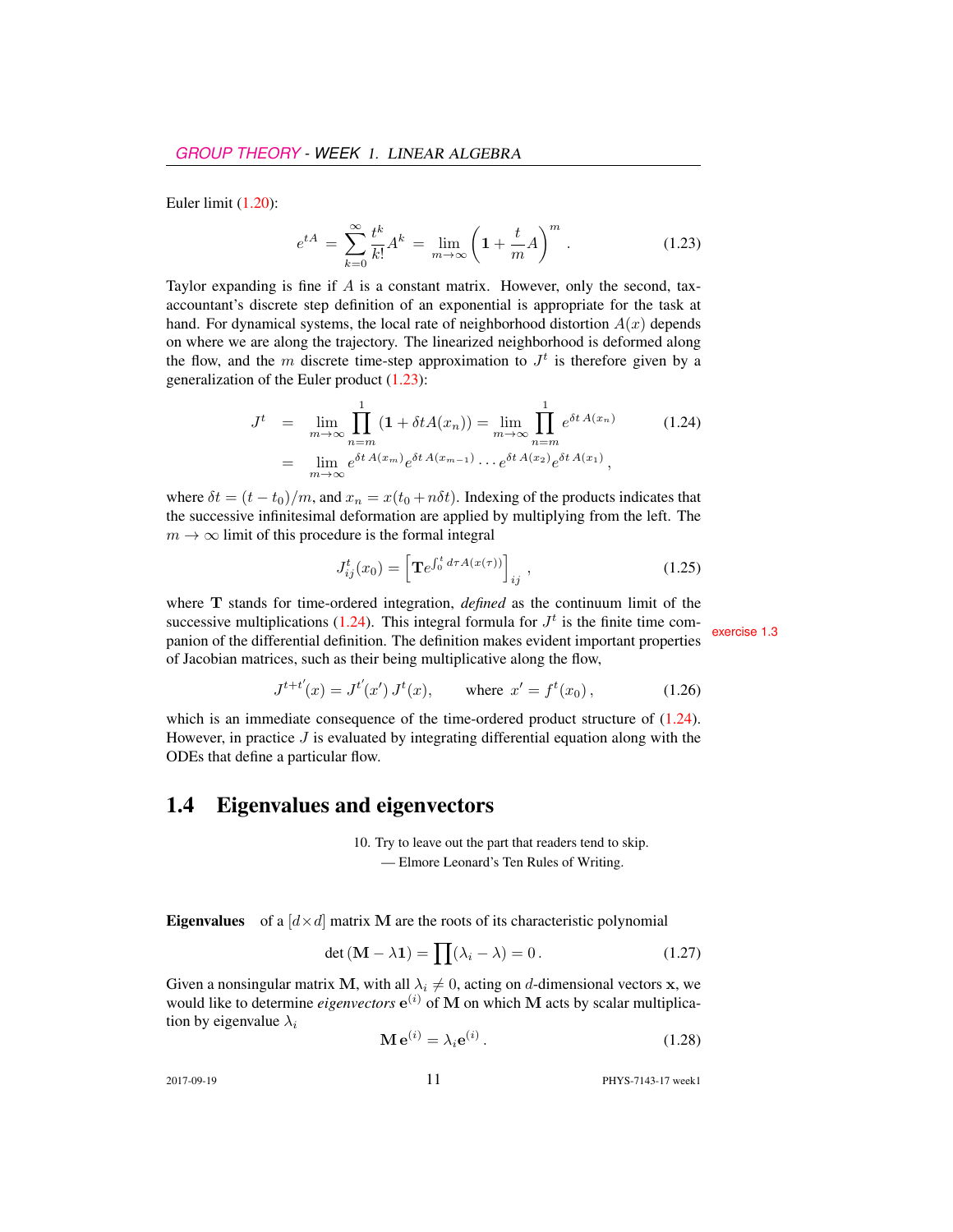Euler limit (1.20):

$$
e^{tA} = \sum_{k=0}^{\infty} \frac{t^k}{k!} A^k = \lim_{m \to \infty} \left( 1 + \frac{t}{m} A \right)^m.
$$
 (1.23)

Taylor expanding is fine if  $A$  is a constant matrix. However, only the second, taxaccountant's discrete step definition of an exponential is appropriate for the task at hand. For dynamical systems, the local rate of neighborhood distortion  $A(x)$  depends on where we are along the trajectory. The linearized neighborhood is deformed along the flow, and the m discrete time-step approximation to  $J<sup>t</sup>$  is therefore given by a generalization of the Euler product (1.23):

$$
J^t = \lim_{m \to \infty} \prod_{n=m}^1 (1 + \delta t A(x_n)) = \lim_{m \to \infty} \prod_{n=m}^1 e^{\delta t A(x_n)}
$$
(1.24)  
= 
$$
\lim_{m \to \infty} e^{\delta t A(x_m)} e^{\delta t A(x_{m-1})} \cdots e^{\delta t A(x_2)} e^{\delta t A(x_1)},
$$

where  $\delta t = (t - t_0)/m$ , and  $x_n = x(t_0 + n\delta t)$ . Indexing of the products indicates that the successive infinitesimal deformation are applied by multiplying from the left. The  $m \to \infty$  limit of this procedure is the formal integral

$$
J_{ij}^{t}(x_0) = \left[ \mathbf{T}e^{\int_0^t d\tau A(x(\tau))} \right]_{ij}, \qquad (1.25)
$$

where T stands for time-ordered integration, *defined* as the continuum limit of the successive multiplications (1.24). This integral formula for  $J<sup>t</sup>$ panion of the differential definition. The definition makes evident important properties exercise 1.3 of Jacobian matrices, such as their being multiplicative along the flow,

$$
J^{t+t'}(x) = J^{t'}(x') J^t(x), \qquad \text{where } x' = f^t(x_0), \tag{1.26}
$$

which is an immediate consequence of the time-ordered product structure of  $(1.24)$ . However, in practice  $J$  is evaluated by integrating differential equation along with the ODEs that define a particular flow.

#### 1.4 Eigenvalues and eigenvectors

10. Try to leave out the part that readers tend to skip. — Elmore Leonard's Ten Rules of Writing.

**Eigenvalues** of a  $\left[ d \times d \right]$  matrix M are the roots of its characteristic polynomial

$$
\det\left(\mathbf{M} - \lambda \mathbf{1}\right) = \prod(\lambda_i - \lambda) = 0. \tag{1.27}
$$

Given a nonsingular matrix M, with all  $\lambda_i \neq 0$ , acting on d-dimensional vectors x, we would like to determine *eigenvectors*  $e^{(i)}$  of M on which M acts by scalar multiplication by eigenvalue  $\lambda_i$ 

$$
\mathbf{M}\,\mathbf{e}^{(i)} = \lambda_i \mathbf{e}^{(i)}\,. \tag{1.28}
$$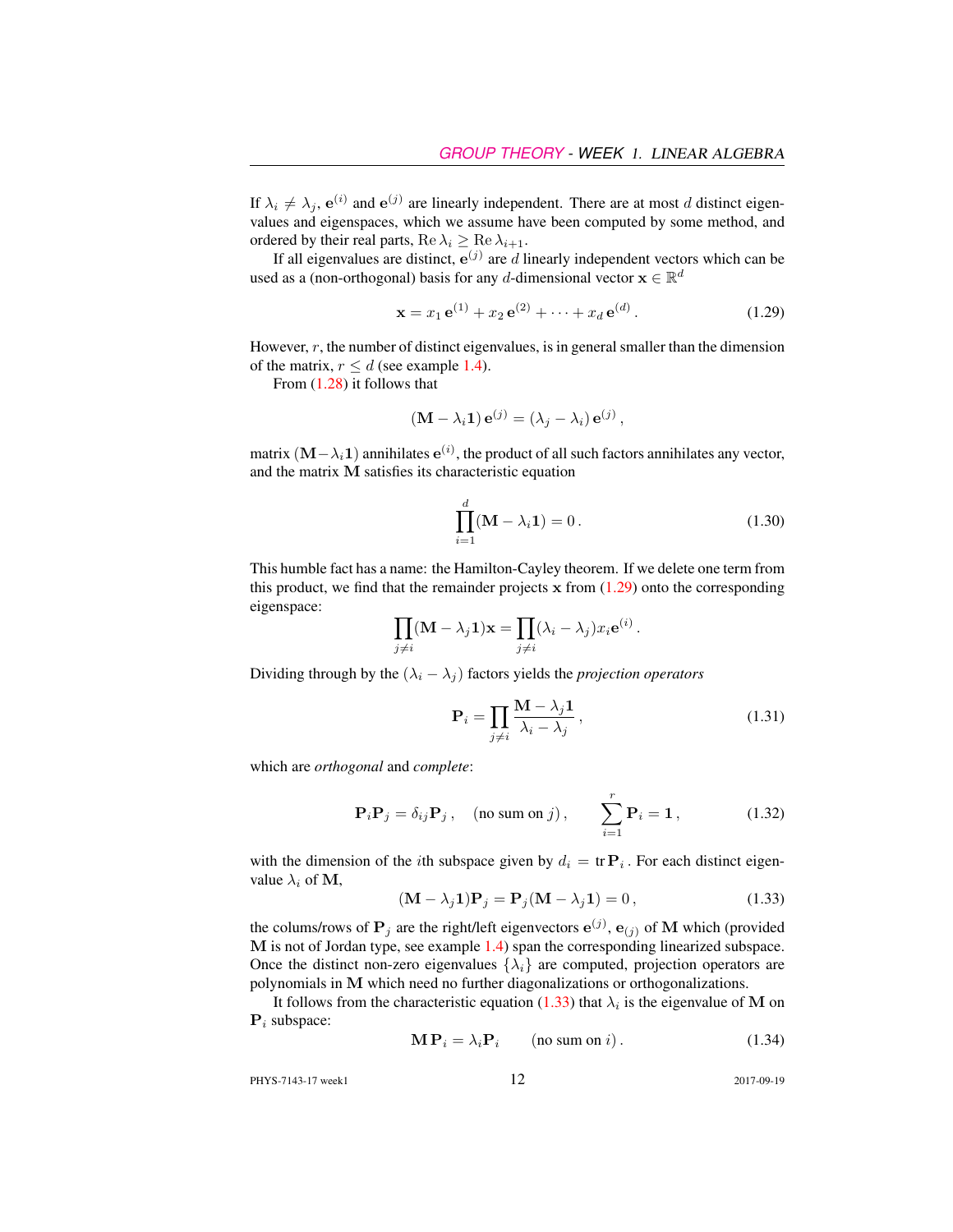If  $\lambda_i \neq \lambda_j$ ,  $e^{(i)}$  and  $e^{(j)}$  are linearly independent. There are at most d distinct eigenvalues and eigenspaces, which we assume have been computed by some method, and ordered by their real parts, Re  $\lambda_i \geq \text{Re }\lambda_{i+1}$ .

If all eigenvalues are distinct,  $e^{(j)}$  are d linearly independent vectors which can be used as a (non-orthogonal) basis for any d-dimensional vector  $\mathbf{x} \in \mathbb{R}^d$ 

$$
\mathbf{x} = x_1 \,\mathbf{e}^{(1)} + x_2 \,\mathbf{e}^{(2)} + \dots + x_d \,\mathbf{e}^{(d)} \,. \tag{1.29}
$$

However,  $r$ , the number of distinct eigenvalues, is in general smaller than the dimension of the matrix,  $r \leq d$  (see example 1.4).

From (1.28) it follows that

$$
(\mathbf{M} - \lambda_i \mathbf{1}) \mathbf{e}^{(j)} = (\lambda_j - \lambda_i) \mathbf{e}^{(j)},
$$

matrix  $(\mathbf{M}-\lambda_i\mathbf{1})$  annihilates  $\mathbf{e}^{(i)}$ , the product of all such factors annihilates any vector, and the matrix M satisfies its characteristic equation

$$
\prod_{i=1}^{d} (\mathbf{M} - \lambda_i \mathbf{1}) = 0.
$$
 (1.30)

This humble fact has a name: the Hamilton-Cayley theorem. If we delete one term from this product, we find that the remainder projects  $x$  from  $(1.29)$  onto the corresponding eigenspace:

$$
\prod_{j \neq i} (\mathbf{M} - \lambda_j \mathbf{1}) \mathbf{x} = \prod_{j \neq i} (\lambda_i - \lambda_j) x_i e^{(i)}.
$$

Dividing through by the  $(\lambda_i - \lambda_j)$  factors yields the *projection operators* 

$$
\mathbf{P}_{i} = \prod_{j \neq i} \frac{\mathbf{M} - \lambda_{j} \mathbf{1}}{\lambda_{i} - \lambda_{j}},
$$
\n(1.31)

which are *orthogonal* and *complete*:

$$
\mathbf{P}_{i}\mathbf{P}_{j} = \delta_{ij}\mathbf{P}_{j}, \quad \text{(no sum on } j), \qquad \sum_{i=1}^{r} \mathbf{P}_{i} = \mathbf{1}, \tag{1.32}
$$

with the dimension of the *i*th subspace given by  $d_i = \text{tr } \mathbf{P}_i$ . For each distinct eigenvalue  $\lambda_i$  of M,

$$
(\mathbf{M} - \lambda_j \mathbf{1}) \mathbf{P}_j = \mathbf{P}_j (\mathbf{M} - \lambda_j \mathbf{1}) = 0, \qquad (1.33)
$$

the colums/rows of  $P_j$  are the right/left eigenvectors  $e^{(j)}$ ,  $e_{(j)}$  of M which (provided M is not of Jordan type, see example 1.4) span the corresponding linearized subspace. Once the distinct non-zero eigenvalues  $\{\lambda_i\}$  are computed, projection operators are polynomials in M which need no further diagonalizations or orthogonalizations.

It follows from the characteristic equation (1.33) that  $\lambda_i$  is the eigenvalue of M on  $P_i$  subspace:

$$
\mathbf{M}\,\mathbf{P}_i = \lambda_i \mathbf{P}_i \qquad \text{(no sum on } i\text{)}\,. \tag{1.34}
$$

$$
^{-1}
$$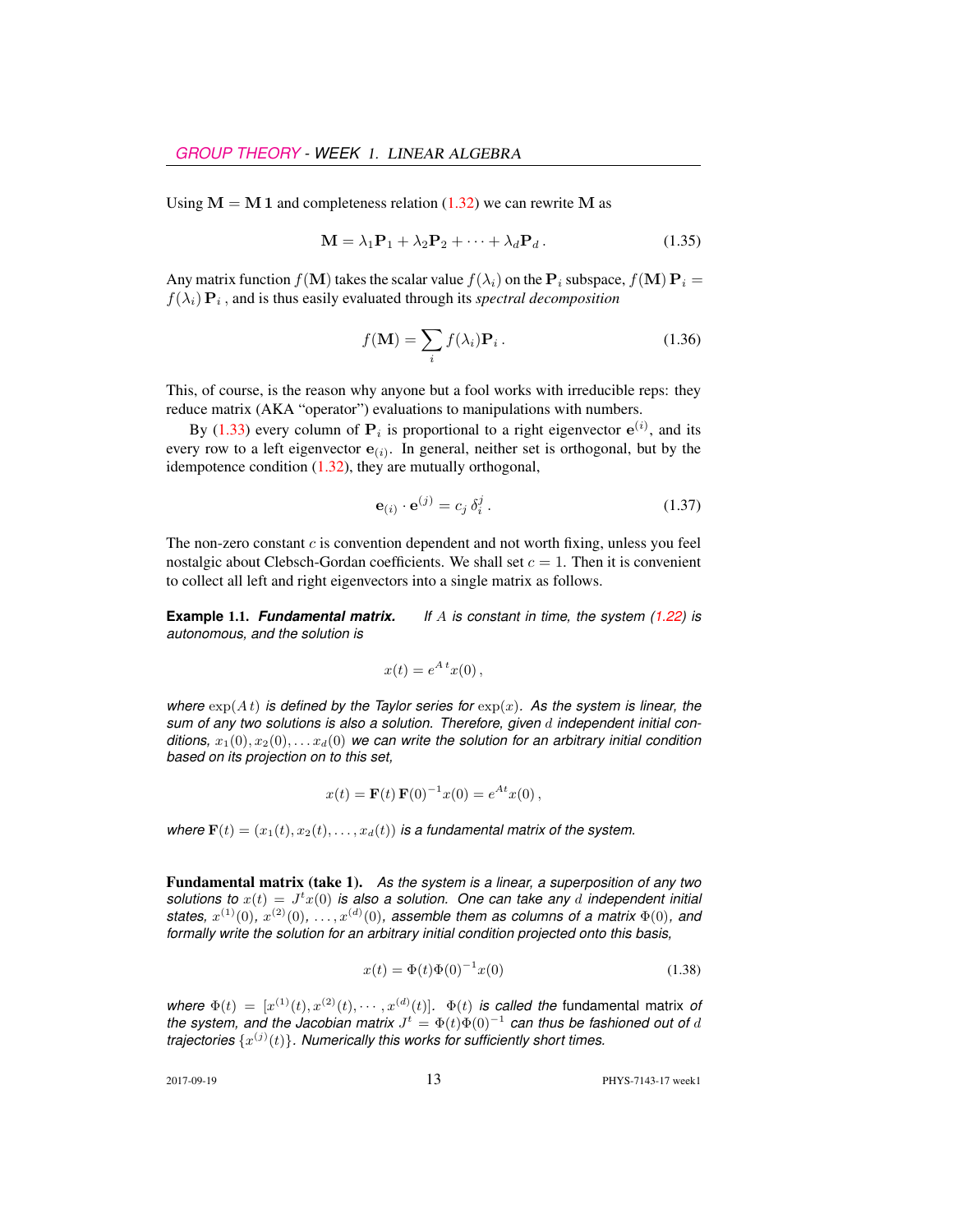Using  $M = M 1$  and completeness relation (1.32) we can rewrite M as

$$
\mathbf{M} = \lambda_1 \mathbf{P}_1 + \lambda_2 \mathbf{P}_2 + \dots + \lambda_d \mathbf{P}_d.
$$
 (1.35)

Any matrix function  $f(\mathbf{M})$  takes the scalar value  $f(\lambda_i)$  on the  $\mathbf{P}_i$  subspace,  $f(\mathbf{M}) \mathbf{P}_i =$  $f(\lambda_i) \mathbf{P}_i$ , and is thus easily evaluated through its *spectral decomposition* 

$$
f(\mathbf{M}) = \sum_{i} f(\lambda_i) \mathbf{P}_i.
$$
 (1.36)

This, of course, is the reason why anyone but a fool works with irreducible reps: they reduce matrix (AKA "operator") evaluations to manipulations with numbers.

By (1.33) every column of  $P_i$  is proportional to a right eigenvector  $e^{(i)}$ , and its every row to a left eigenvector  $e_{(i)}$ . In general, neither set is orthogonal, but by the idempotence condition (1.32), they are mutually orthogonal,

$$
\mathbf{e}_{(i)} \cdot \mathbf{e}^{(j)} = c_j \, \delta_i^j \,. \tag{1.37}
$$

The non-zero constant  $c$  is convention dependent and not worth fixing, unless you feel nostalgic about Clebsch-Gordan coefficients. We shall set  $c = 1$ . Then it is convenient to collect all left and right eigenvectors into a single matrix as follows.

**Example** 1.1. *Fundamental matrix. If* A *is constant in time, the system (1.22) is autonomous, and the solution is*

$$
x(t) = e^{A t} x(0),
$$

*where*  $\exp(At)$  *is defined by the Taylor series for*  $\exp(x)$ *. As the system is linear, the sum of any two solutions is also a solution. Therefore, given* d *independent initial conditions,*  $x_1(0), x_2(0), \ldots x_d(0)$  *we can write the solution for an arbitrary initial condition based on its projection on to this set,*

$$
x(t) = \mathbf{F}(t) \mathbf{F}(0)^{-1} x(0) = e^{At} x(0),
$$

*where*  $F(t) = (x_1(t), x_2(t), \dots, x_d(t))$  *is a fundamental matrix of the system.* 

Fundamental matrix (take 1). *As the system is a linear, a superposition of any two* solutions to  $x(t) = J<sup>t</sup> x(0)$  is also a solution. One can take any d independent initial states,  $x^{(1)}(0)$ ,  $x^{(2)}(0)$ , ...,  $x^{(d)}(0)$ , assemble them as columns of a matrix  $\Phi(0)$ , and *formally write the solution for an arbitrary initial condition projected onto this basis,*

$$
x(t) = \Phi(t)\Phi(0)^{-1}x(0)
$$
\n(1.38)

where  $\Phi(t) = [x^{(1)}(t), x^{(2)}(t), \cdots, x^{(d)}(t)].$   $\Phi(t)$  *is called the fundamental matrix of the system, and the Jacobian matrix*  $J^t = \Phi(t)\Phi(0)^{-1}$  can thus be fashioned out of d trajectories  $\{x^{(j)}(t)\}$ . Numerically this works for sufficiently short times.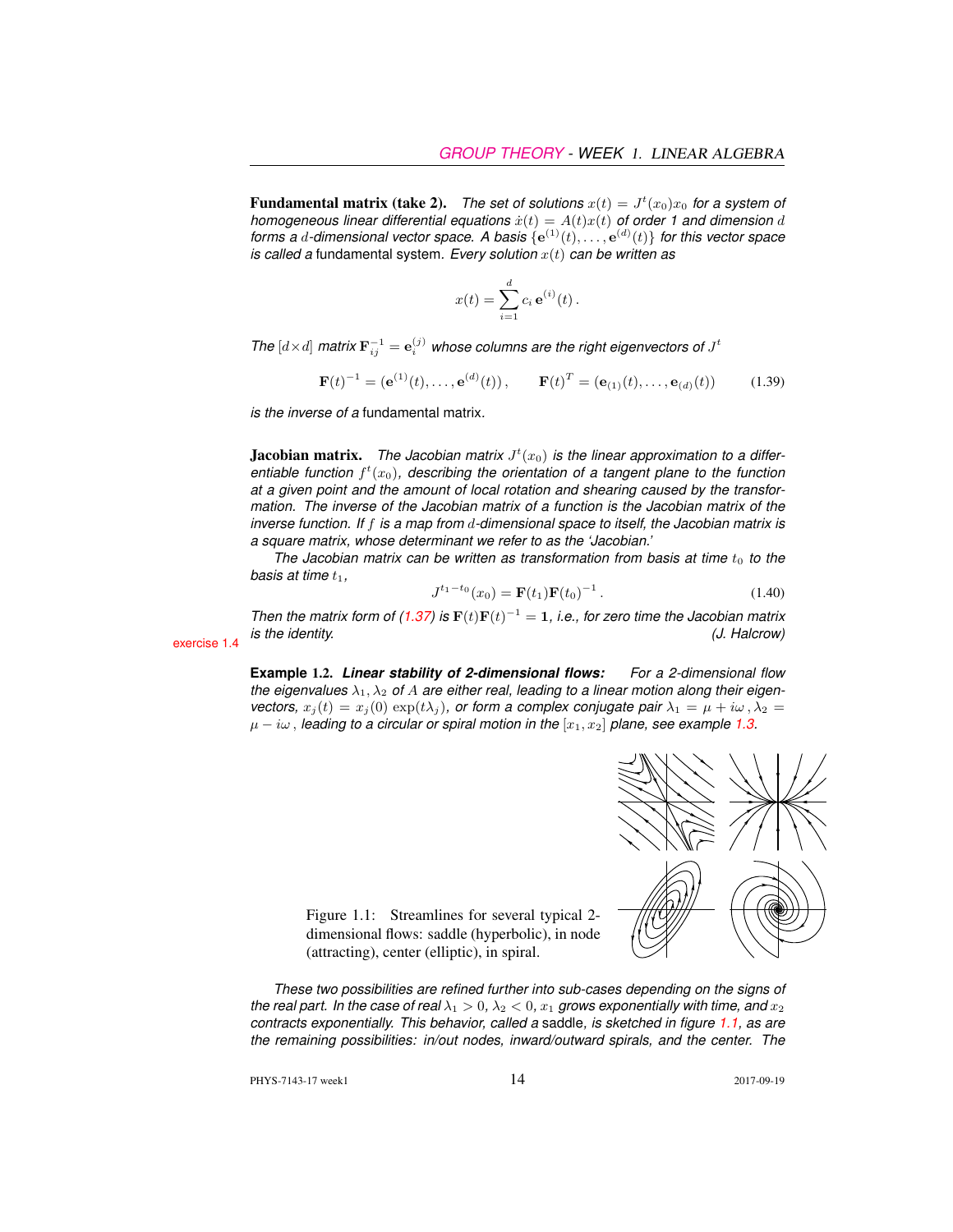Fundamental matrix (take 2). The set of solutions  $x(t) = J^t(x_0)x_0$  for a system of *homogeneous linear differential equations*  $\dot{x}(t) = A(t)x(t)$  *of order 1 and dimension* d forms a d-dimensional vector space. A basis  $\{e^{(1)}(t), \ldots, e^{(d)}(t)\}$  for this vector space *is called a* fundamental system*. Every solution* x(t) *can be written as*

$$
x(t) = \sum_{i=1}^{d} c_i e^{(i)}(t).
$$

The  $[d \times d]$  matrix  $\mathbf{F}_{ij}^{-1} = \mathbf{e}_i^{(j)}$  whose columns are the right eigenvectors of  $J^t$ 

$$
\mathbf{F}(t)^{-1} = (\mathbf{e}^{(1)}(t), \dots, \mathbf{e}^{(d)}(t)), \qquad \mathbf{F}(t)^{T} = (\mathbf{e}_{(1)}(t), \dots, \mathbf{e}_{(d)}(t))
$$
(1.39)

*is the inverse of a* fundamental matrix*.*

**Jacobian matrix.** The Jacobian matrix  $J<sup>t</sup>(x<sub>0</sub>)$  is the linear approximation to a differentiable function  $f^t(x_0)$ , describing the orientation of a tangent plane to the function *at a given point and the amount of local rotation and shearing caused by the transformation. The inverse of the Jacobian matrix of a function is the Jacobian matrix of the inverse function. If* f *is a map from* d*-dimensional space to itself, the Jacobian matrix is a square matrix, whose determinant we refer to as the 'Jacobian.'*

*The Jacobian matrix can be written as transformation from basis at time t<sub>0</sub> to the basis at time*  $t_1$ ,

$$
J^{t_1-t_0}(x_0) = \mathbf{F}(t_1)\mathbf{F}(t_0)^{-1}.
$$
 (1.40)

*Then the matrix form of (1.37) is*  $F(t)F(t)^{-1} = 1$ , *i.e., for zero time the Jacobian matrix is the identity. (J. Halcrow)* exercise 1.4

**Example** 1.2. *Linear stability of 2-dimensional flows: For a 2-dimensional flow* the eigenvalues  $\lambda_1, \lambda_2$  of A are either real, leading to a linear motion along their eigen*vectors,*  $x_j(t) = x_j(0) \exp(t\lambda_j)$ , or form a complex conjugate pair  $\lambda_1 = \mu + i\omega$ ,  $\lambda_2 =$  $\mu - i\omega$ , *leading to a circular or spiral motion in the*  $[x_1, x_2]$  *plane, see example* 1.3.



Figure 1.1: Streamlines for several typical 2 dimensional flows: saddle (hyperbolic), in node (attracting), center (elliptic), in spiral.

*These two possibilities are refined further into sub-cases depending on the signs of the real part. In the case of real*  $\lambda_1 > 0$ ,  $\lambda_2 < 0$ ,  $x_1$  *grows exponentially with time, and*  $x_2$ *contracts exponentially. This behavior, called a* saddle*, is sketched in figure 1.1, as are the remaining possibilities: in/out nodes, inward/outward spirals, and the center. The*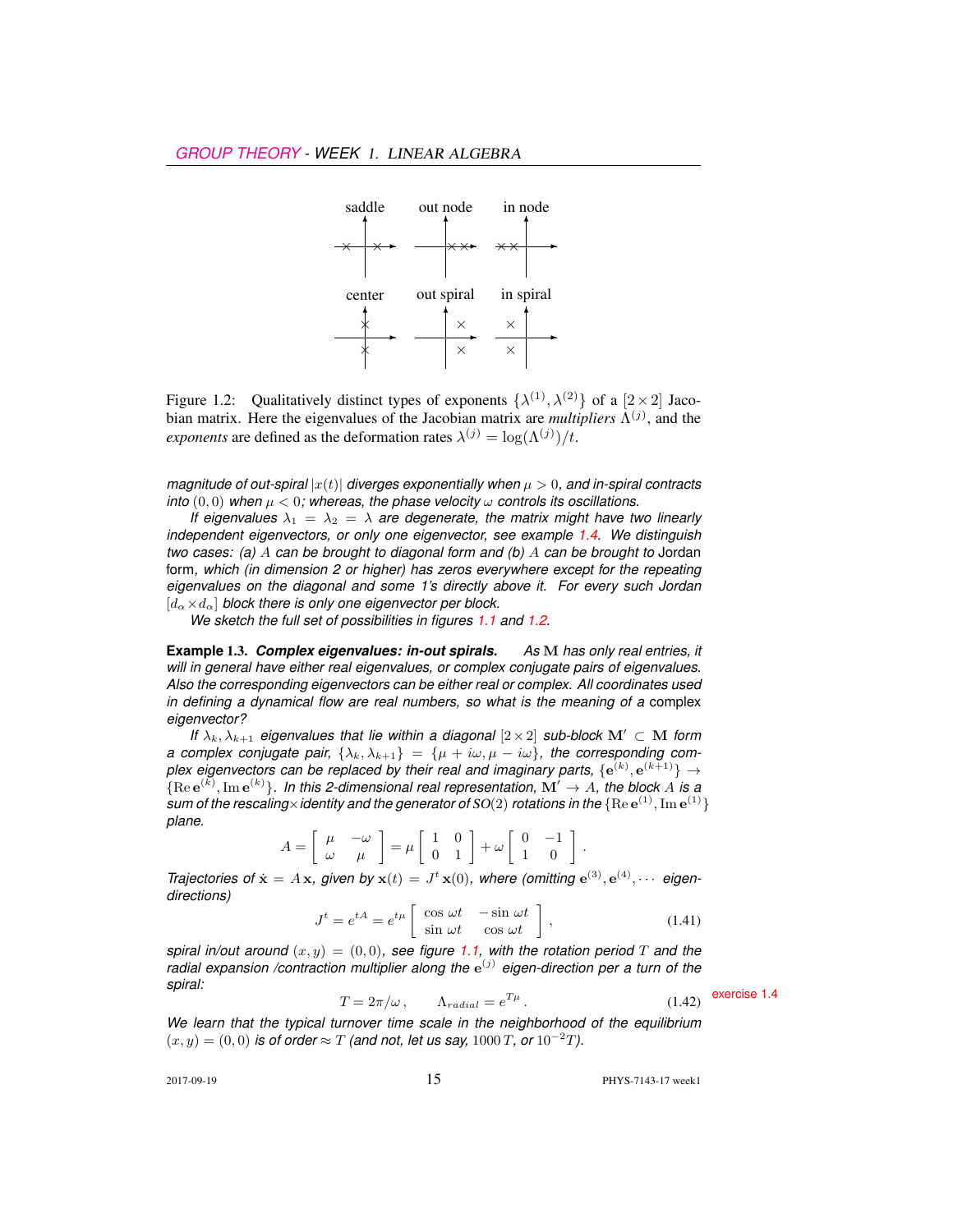

Figure 1.2: Qualitatively distinct types of exponents  $\{\lambda^{(1)},\lambda^{(2)}\}$  of a  $[2\times 2]$  Jacobian matrix. Here the eigenvalues of the Jacobian matrix are *multipliers*  $\Lambda^{(j)}$ , and the *exponents* are defined as the deformation rates  $\lambda^{(j)} = \log(\Lambda^{(j)})/t$ .

*magnitude of out-spiral*  $|x(t)|$  *diverges exponentially when*  $\mu > 0$ *, and in-spiral contracts into*  $(0,0)$  *when*  $\mu < 0$ *; whereas, the phase velocity*  $\omega$  *controls its oscillations.* 

*If eigenvalues*  $\lambda_1 = \lambda_2 = \lambda$  *are degenerate, the matrix might have two linearly independent eigenvectors, or only one eigenvector, see example 1.4. We distinguish two cases: (a)* A *can be brought to diagonal form and (b)* A *can be brought to* Jordan form*, which (in dimension 2 or higher) has zeros everywhere except for the repeating eigenvalues on the diagonal and some 1's directly above it. For every such Jordan*  $[d_{\alpha} \times d_{\alpha}]$  *block there is only one eigenvector per block.* 

*We sketch the full set of possibilities in figures 1.1 and 1.2.*

**Example** 1.3. *Complex eigenvalues: in-out spirals. As* M *has only real entries, it will in general have either real eigenvalues, or complex conjugate pairs of eigenvalues. Also the corresponding eigenvectors can be either real or complex. All coordinates used in defining a dynamical flow are real numbers, so what is the meaning of a* complex *eigenvector?*

*If*  $\lambda_k, \lambda_{k+1}$  *eigenvalues that lie within a diagonal*  $[2 \times 2]$  *sub-block* M'  $\subset M$  *form a complex conjugate pair,*  $\{\lambda_k, \lambda_{k+1}\} = \{\mu + i\omega, \mu - i\omega\}$ , the corresponding complex eigenvectors can be replaced by their real and imaginary parts,  $\{{\bf e}^{(k)},{\bf e}^{(k+1)}\}\rightarrow$  ${Re}e^{(k)}, Im e^{(k)}\}$ . In this 2-dimensional real representation,  $\mathbf{M}' \to A$ , the block A is a sum of the rescaling $\times$ identity and the generator of SO(2) rotations in the  $\{ \rm{Re}\, e^{(1)}, \rm{Im}\, e^{(1)} \}$ *plane.*

$$
A = \left[ \begin{array}{cc} \mu & -\omega \\ \omega & \mu \end{array} \right] = \mu \left[ \begin{array}{cc} 1 & 0 \\ 0 & 1 \end{array} \right] + \omega \left[ \begin{array}{cc} 0 & -1 \\ 1 & 0 \end{array} \right].
$$

*Trajectories of*  $\dot{\mathbf{x}} = A\mathbf{x}$ , given by  $\mathbf{x}(t) = J^t \mathbf{x}(0)$ , where (omitting  $e^{(3)}$ ,  $e^{(4)}$ ,  $\cdots$  eigen*directions)*

$$
J^{t} = e^{tA} = e^{t\mu} \begin{bmatrix} \cos \omega t & -\sin \omega t \\ \sin \omega t & \cos \omega t \end{bmatrix},
$$
 (1.41)

*spiral in/out around*  $(x, y) = (0, 0)$ *, see figure* 1.1, with the rotation period T and the radial expansion /contraction multiplier along the  $e^{(j)}$  eigen-direction per a turn of the

spiral:  
\n
$$
T = 2\pi/\omega, \qquad \Lambda_{radial} = e^{T\mu}.
$$
\n(1.42) exercise 1.4

*We learn that the typical turnover time scale in the neighborhood of the equilibrium*  $(x, y) = (0, 0)$  *is of order* ≈ T *(and not, let us say, 1000 T, or* 10<sup>-2</sup>*T)*.

2017-09-19 **15** PHYS-7143-17 week1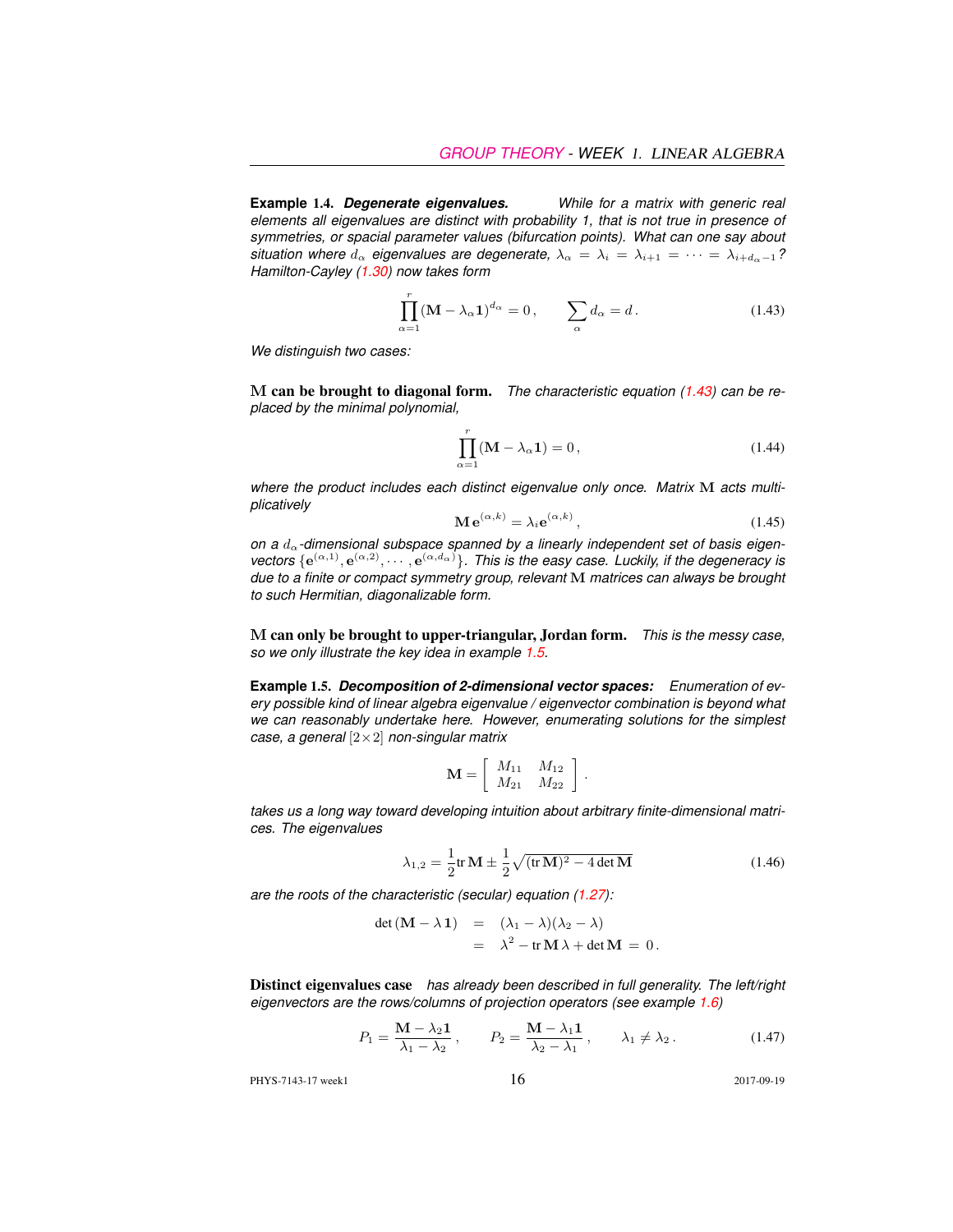**Example** 1.4. *Degenerate eigenvalues. While for a matrix with generic real elements all eigenvalues are distinct with probability 1, that is not true in presence of symmetries, or spacial parameter values (bifurcation points). What can one say about situation where*  $d_{\alpha}$  *eigenvalues are degenerate,*  $\lambda_{\alpha} = \lambda_i = \lambda_{i+1} = \cdots = \lambda_{i+d_{\alpha}-1}$ ? *Hamilton-Cayley (1.30) now takes form*

$$
\prod_{\alpha=1}^{r} (\mathbf{M} - \lambda_{\alpha} \mathbf{1})^{d_{\alpha}} = 0, \qquad \sum_{\alpha} d_{\alpha} = d. \tag{1.43}
$$

*We distinguish two cases:*

M can be brought to diagonal form. *The characteristic equation (1.43) can be replaced by the minimal polynomial,*

$$
\prod_{\alpha=1}^{r} (\mathbf{M} - \lambda_{\alpha} \mathbf{1}) = 0, \qquad (1.44)
$$

*where the product includes each distinct eigenvalue only once. Matrix* M *acts multiplicatively*

$$
\mathbf{M} \,\mathbf{e}^{(\alpha,k)} = \lambda_i \mathbf{e}^{(\alpha,k)},\tag{1.45}
$$

on a  $d_{\alpha}$ -dimensional subspace spanned by a linearly independent set of basis eigenvectors  $\{e^{(\alpha,1)}, e^{(\alpha,2)}, \cdots, e^{(\alpha,d_\alpha)}\}$ . This is the easy case. Luckily, if the degeneracy is *due to a finite or compact symmetry group, relevant* M *matrices can always be brought to such Hermitian, diagonalizable form.*

M can only be brought to upper-triangular, Jordan form. *This is the messy case, so we only illustrate the key idea in example 1.5.*

**Example** 1.5. *Decomposition of 2-dimensional vector spaces: Enumeration of every possible kind of linear algebra eigenvalue / eigenvector combination is beyond what we can reasonably undertake here. However, enumerating solutions for the simplest case, a general* [2×2] *non-singular matrix*

$$
\mathbf{M} = \left[ \begin{array}{cc} M_{11} & M_{12} \\ M_{21} & M_{22} \end{array} \right].
$$

*takes us a long way toward developing intuition about arbitrary finite-dimensional matrices. The eigenvalues*

$$
\lambda_{1,2} = \frac{1}{2} \text{tr} \, \mathbf{M} \pm \frac{1}{2} \sqrt{(\text{tr} \, \mathbf{M})^2 - 4 \det \mathbf{M}}
$$
\n(1.46)

*are the roots of the characteristic (secular) equation (1.27):*

$$
det (M - \lambda 1) = (\lambda_1 - \lambda)(\lambda_2 - \lambda)
$$
  
=  $\lambda^2 - tr M \lambda + det M = 0.$ 

Distinct eigenvalues case *has already been described in full generality. The left/right eigenvectors are the rows/columns of projection operators (see example 1.6)*

$$
P_1 = \frac{\mathbf{M} - \lambda_2 \mathbf{1}}{\lambda_1 - \lambda_2}, \qquad P_2 = \frac{\mathbf{M} - \lambda_1 \mathbf{1}}{\lambda_2 - \lambda_1}, \qquad \lambda_1 \neq \lambda_2. \tag{1.47}
$$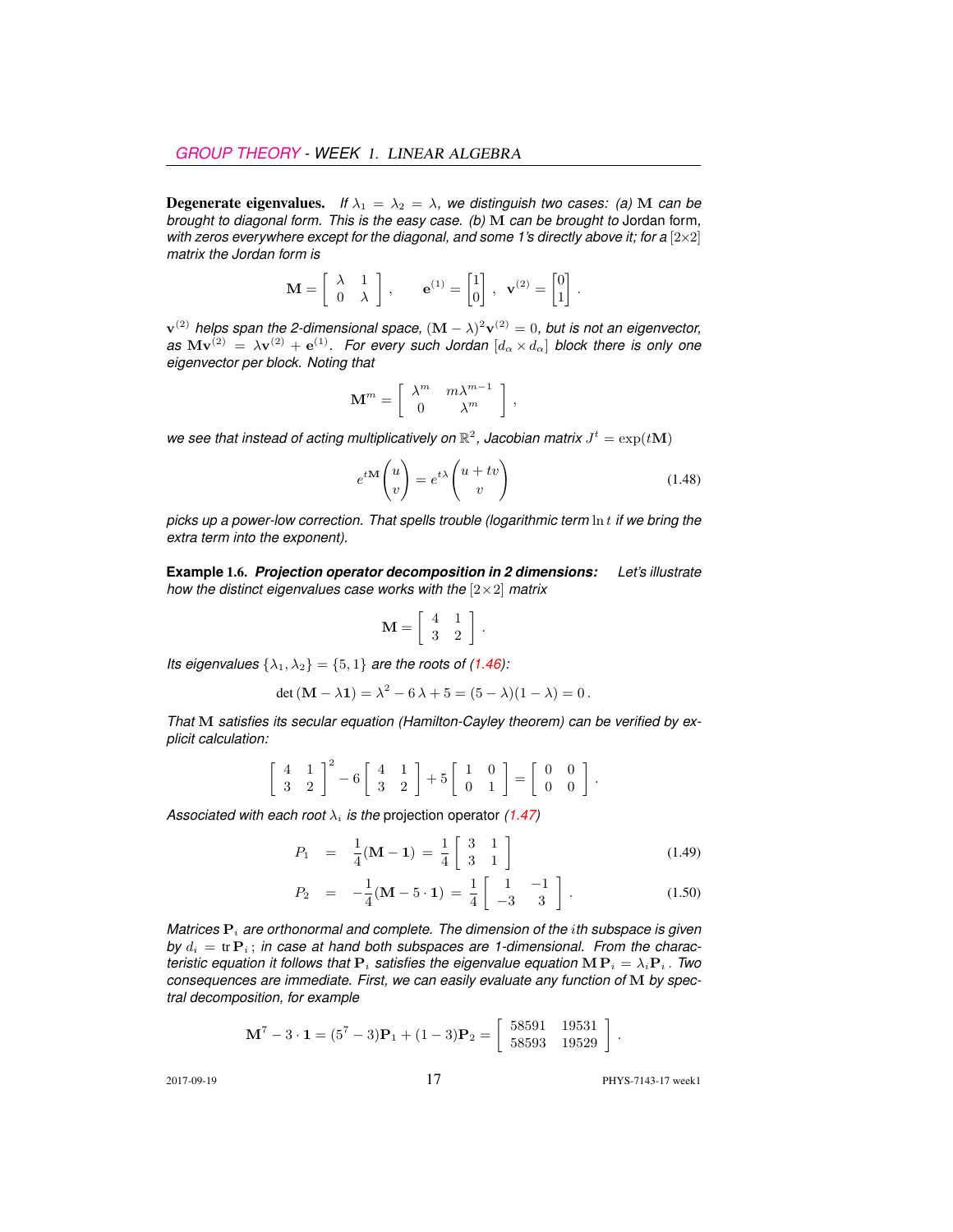**Degenerate eigenvalues.** *If*  $\lambda_1 = \lambda_2 = \lambda$ , we distinguish two cases: (a) M can be *brought to diagonal form. This is the easy case. (b)* M *can be brought to* Jordan form*, with zeros everywhere except for the diagonal, and some 1's directly above it; for a*  $[2 \times 2]$ *matrix the Jordan form is*

$$
\mathbf{M} = \begin{bmatrix} \lambda & 1 \\ 0 & \lambda \end{bmatrix}, \qquad \mathbf{e}^{(1)} = \begin{bmatrix} 1 \\ 0 \end{bmatrix}, \ \mathbf{v}^{(2)} = \begin{bmatrix} 0 \\ 1 \end{bmatrix}
$$

 ${\bf v}^{(2)}$  helps span the 2-dimensional space,  $({\bf M}-\lambda)^2{\bf v}^{(2)}=0,$  but is not an eigenvector,  $a$ s  $Mv^{(2)} = \lambda v^{(2)} + e^{(1)}$ . For every such Jordan  $[d_\alpha \times d_\alpha]$  block there is only one *eigenvector per block. Noting that*

$$
\mathbf{M}^m = \left[ \begin{array}{cc} \lambda^m & m \lambda^{m-1} \\ 0 & \lambda^m \end{array} \right] \,,
$$

we see that instead of acting multiplicatively on  $\mathbb{R}^2$ , Jacobian matrix  $J^t = \exp(t\mathbf{M})$ 

$$
e^{t\mathbf{M}}\begin{pmatrix} u \\ v \end{pmatrix} = e^{t\lambda} \begin{pmatrix} u + tv \\ v \end{pmatrix}
$$
 (1.48)

.

*picks up a power-low correction. That spells trouble (logarithmic term* ln t *if we bring the extra term into the exponent).*

**Example** 1.6. *Projection operator decomposition in 2 dimensions: Let's illustrate how the distinct eigenvalues case works with the* [2×2] *matrix*

$$
\mathbf{M} = \left[ \begin{array}{cc} 4 & 1 \\ 3 & 2 \end{array} \right] .
$$

*Its eigenvalues*  $\{\lambda_1, \lambda_2\} = \{5, 1\}$  *are the roots of (1.46):* 

$$
\det (M - \lambda 1) = \lambda^2 - 6\lambda + 5 = (5 - \lambda)(1 - \lambda) = 0.
$$

*That* M *satisfies its secular equation (Hamilton-Cayley theorem) can be verified by explicit calculation:*

$$
\left[\begin{array}{cc}4 & 1\\3 & 2\end{array}\right]^2 - 6\left[\begin{array}{cc}4 & 1\\3 & 2\end{array}\right] + 5\left[\begin{array}{cc}1 & 0\\0 & 1\end{array}\right] = \left[\begin{array}{cc}0 & 0\\0 & 0\end{array}\right].
$$

*Associated with each root*  $\lambda_i$  *is the* projection operator (1.47)

$$
P_1 = \frac{1}{4}(\mathbf{M} - \mathbf{1}) = \frac{1}{4} \begin{bmatrix} 3 & 1 \\ 3 & 1 \end{bmatrix}
$$
 (1.49)

$$
P_2 = -\frac{1}{4}(\mathbf{M} - 5 \cdot \mathbf{1}) = \frac{1}{4} \begin{bmatrix} 1 & -1 \\ -3 & 3 \end{bmatrix}.
$$
 (1.50)

*Matrices*  $P_i$  *are orthonormal and complete. The dimension of the <i>ith subspace is given* by  $d_i = \text{tr } \mathbf{P}_i$ ; *in case at hand both subspaces are 1-dimensional. From the characteristic equation it follows that*  $P_i$  *satisfies the eigenvalue equation*  $MP_i = \lambda_i P_i$ . *Two consequences are immediate. First, we can easily evaluate any function of* M *by spectral decomposition, for example*

$$
\mathbf{M}^7 - 3 \cdot \mathbf{1} = (5^7 - 3)\mathbf{P}_1 + (1 - 3)\mathbf{P}_2 = \begin{bmatrix} 58591 & 19531 \\ 58593 & 19529 \end{bmatrix}.
$$

2017-09-19 17 PHYS-7143-17 week1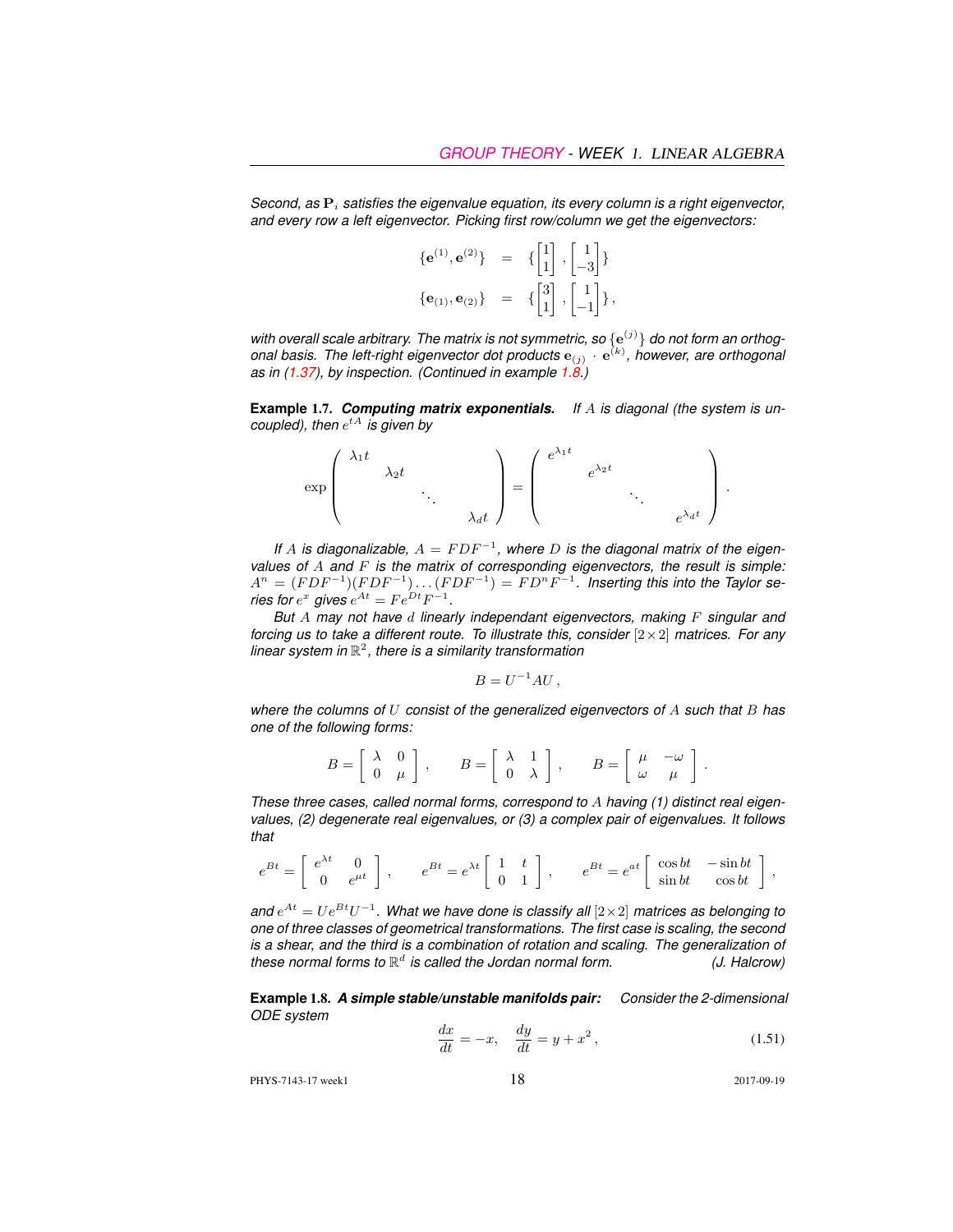*Second, as*  $P_i$  *satisfies the eigenvalue equation, its every column is a right eigenvector, and every row a left eigenvector. Picking first row/column we get the eigenvectors:*

$$
\begin{aligned}\n\{\mathbf{e}^{(1)}, \mathbf{e}^{(2)}\} &= \{ \begin{bmatrix} 1 \\ 1 \end{bmatrix}, \begin{bmatrix} 1 \\ -3 \end{bmatrix} \} \\
\{\mathbf{e}_{(1)}, \mathbf{e}_{(2)}\} &= \{ \begin{bmatrix} 3 \\ 1 \end{bmatrix}, \begin{bmatrix} 1 \\ -1 \end{bmatrix} \},\n\end{aligned}
$$

with overall scale arbitrary. The matrix is not symmetric, so  $\{e^{(j)}\}$  do not form an orthogonal basis. The left-right eigenvector dot products  ${\bf e}_{(j)}\cdot{\bf e}^{(k)}$ , however, are orthogonal *as in (1.37), by inspection. (Continued in example 1.8.)*

**Example** 1.7. *Computing matrix exponentials. If* A *is diagonal (the system is un-* $\mathop{\mathsf{coupled}}\nolimits$ , then  $e^{tA}$  is given by



*If A is diagonalizable,*  $A = FDF^{-1}$ *, where D is the diagonal matrix of the eigenvalues of* A *and* F *is the matrix of corresponding eigenvectors, the result is simple:*  $A^n = (FDF^{-1})(FDF^{-1}) \dots (FDF^{-1}) = FD^nF^{-1}.$  Inserting this into the Taylor se*ries for*  $e^x$  gives  $e^{At} = Fe^{Dt}F^{-1}$ .

*But* A *may not have* d *linearly independant eigenvectors, making* F *singular and forcing us to take a different route. To illustrate this, consider*  $[2 \times 2]$  *matrices. For any linear system in* R 2 *, there is a similarity transformation*

$$
B = U^{-1}AU,
$$

*where the columns of* U *consist of the generalized eigenvectors of* A *such that* B *has one of the following forms:*

$$
B = \left[ \begin{array}{cc} \lambda & 0 \\ 0 & \mu \end{array} \right], \qquad B = \left[ \begin{array}{cc} \lambda & 1 \\ 0 & \lambda \end{array} \right], \qquad B = \left[ \begin{array}{cc} \mu & -\omega \\ \omega & \mu \end{array} \right].
$$

*These three cases, called normal forms, correspond to* A *having (1) distinct real eigenvalues, (2) degenerate real eigenvalues, or (3) a complex pair of eigenvalues. It follows that*

$$
e^{Bt} = \begin{bmatrix} e^{\lambda t} & 0 \\ 0 & e^{\mu t} \end{bmatrix}, \qquad e^{Bt} = e^{\lambda t} \begin{bmatrix} 1 & t \\ 0 & 1 \end{bmatrix}, \qquad e^{Bt} = e^{at} \begin{bmatrix} \cos bt & -\sin bt \\ \sin bt & \cos bt \end{bmatrix},
$$

and  $e^{At} = Ue^{Bt}U^{-1}$ . What we have done is classify all  $[2\times 2]$  matrices as belonging to *one of three classes of geometrical transformations. The first case is scaling, the second is a shear, and the third is a combination of rotation and scaling. The generalization of* these normal forms to  $\mathbb{R}^d$  is called the Jordan normal form.  $($ *J. Halcrow*)

**Example** 1.8. *A simple stable/unstable manifolds pair: Consider the 2-dimensional ODE system*

$$
\frac{dx}{dt} = -x, \quad \frac{dy}{dt} = y + x^2, \tag{1.51}
$$

$$
^{-1}
$$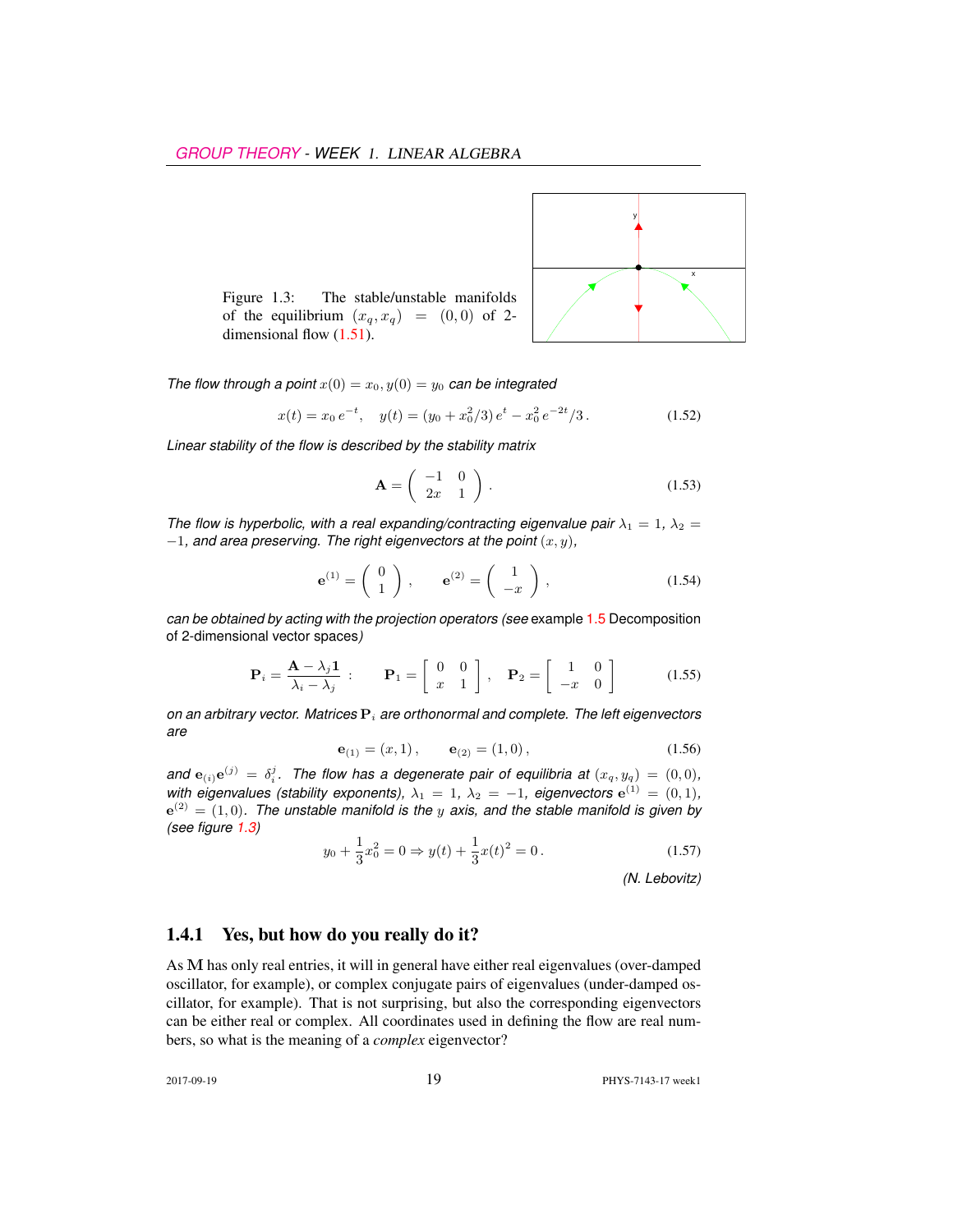

Figure 1.3: The stable/unstable manifolds of the equilibrium  $(x_q, x_q) = (0, 0)$  of 2dimensional flow  $(1.51)$ .

*The flow through a point*  $x(0) = x_0, y(0) = y_0$  *can be integrated* 

$$
x(t) = x_0 e^{-t}, \quad y(t) = (y_0 + x_0^2/3) e^t - x_0^2 e^{-2t}/3.
$$
 (1.52)

*Linear stability of the flow is described by the stability matrix*

$$
\mathbf{A} = \left( \begin{array}{cc} -1 & 0 \\ 2x & 1 \end{array} \right). \tag{1.53}
$$

*The flow is hyperbolic, with a real expanding/contracting eigenvalue pair*  $\lambda_1 = 1$ ,  $\lambda_2 =$  $-1$ *, and area preserving. The right eigenvectors at the point*  $(x, y)$ *,* 

$$
\mathbf{e}^{(1)} = \begin{pmatrix} 0 \\ 1 \end{pmatrix}, \qquad \mathbf{e}^{(2)} = \begin{pmatrix} 1 \\ -x \end{pmatrix}, \tag{1.54}
$$

*can be obtained by acting with the projection operators (see* example 1.5 Decomposition of 2-dimensional vector spaces*)*

$$
\mathbf{P}_{i} = \frac{\mathbf{A} - \lambda_{j} \mathbf{1}}{\lambda_{i} - \lambda_{j}} : \qquad \mathbf{P}_{1} = \left[ \begin{array}{cc} 0 & 0 \\ x & 1 \end{array} \right], \quad \mathbf{P}_{2} = \left[ \begin{array}{cc} 1 & 0 \\ -x & 0 \end{array} \right] \tag{1.55}
$$

*on an arbitrary vector. Matrices* P<sup>i</sup> *are orthonormal and complete. The left eigenvectors are*

$$
\mathbf{e}_{(1)} = (x, 1), \qquad \mathbf{e}_{(2)} = (1, 0), \tag{1.56}
$$

and  $e_{(i)}e^{(j)} = \delta_i^j$ . The flow has a degenerate pair of equilibria at  $(x_q, y_q) = (0, 0)$ , *with eigenvalues (stability exponents),*  $\lambda_1 = 1$ ,  $\lambda_2 = -1$ , eigenvectors  $e^{(1)} = (0,1)$ ,  $e^{(2)} = (1,0)$ . The unstable manifold is the  $y$  axis, and the stable manifold is given by *(see figure 1.3)*

$$
y_0 + \frac{1}{3}x_0^2 = 0 \Rightarrow y(t) + \frac{1}{3}x(t)^2 = 0.
$$
 (1.57)

*(N. Lebovitz)*

#### 1.4.1 Yes, but how do you really do it?

As M has only real entries, it will in general have either real eigenvalues (over-damped oscillator, for example), or complex conjugate pairs of eigenvalues (under-damped oscillator, for example). That is not surprising, but also the corresponding eigenvectors can be either real or complex. All coordinates used in defining the flow are real numbers, so what is the meaning of a *complex* eigenvector?

2017-09-19 **19** PHYS-7143-17 week1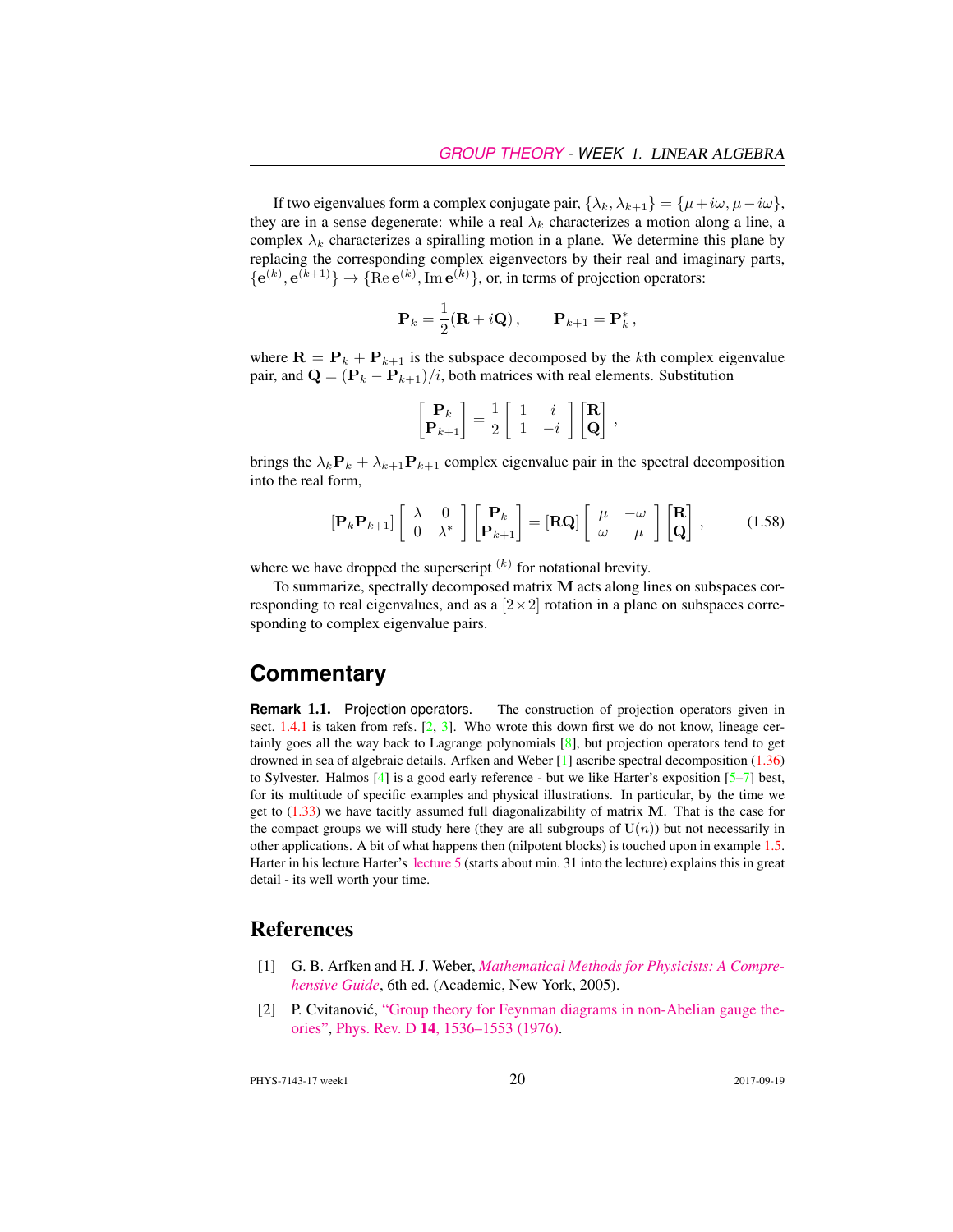If two eigenvalues form a complex conjugate pair,  $\{\lambda_k, \lambda_{k+1}\} = \{\mu + i\omega, \mu - i\omega\}$ , they are in a sense degenerate: while a real  $\lambda_k$  characterizes a motion along a line, a complex  $\lambda_k$  characterizes a spiralling motion in a plane. We determine this plane by replacing the corresponding complex eigenvectors by their real and imaginary parts,  ${e^{(k)}, e^{(k+1)}} \rightarrow {Re e^{(k)}, Im e^{(k)}}$ , or, in terms of projection operators:

$$
\mathbf{P}_k = \frac{1}{2}(\mathbf{R} + i\mathbf{Q}), \qquad \mathbf{P}_{k+1} = \mathbf{P}_k^*,
$$

where  $\mathbf{R} = \mathbf{P}_k + \mathbf{P}_{k+1}$  is the subspace decomposed by the kth complex eigenvalue pair, and  $\mathbf{Q} = (\mathbf{P}_k - \mathbf{P}_{k+1})/i$ , both matrices with real elements. Substitution

$$
\begin{bmatrix} \mathbf{P}_k \\ \mathbf{P}_{k+1} \end{bmatrix} = \frac{1}{2} \begin{bmatrix} 1 & i \\ 1 & -i \end{bmatrix} \begin{bmatrix} \mathbf{R} \\ \mathbf{Q} \end{bmatrix},
$$

brings the  $\lambda_k \mathbf{P}_k + \lambda_{k+1} \mathbf{P}_{k+1}$  complex eigenvalue pair in the spectral decomposition into the real form,

$$
\begin{bmatrix} \mathbf{P}_k \mathbf{P}_{k+1} \end{bmatrix} \begin{bmatrix} \lambda & 0 \\ 0 & \lambda^* \end{bmatrix} \begin{bmatrix} \mathbf{P}_k \\ \mathbf{P}_{k+1} \end{bmatrix} = \begin{bmatrix} \mathbf{R} \mathbf{Q} \end{bmatrix} \begin{bmatrix} \mu & -\omega \\ \omega & \mu \end{bmatrix} \begin{bmatrix} \mathbf{R} \\ \mathbf{Q} \end{bmatrix}, \quad (1.58)
$$

where we have dropped the superscript  $(k)$  for notational brevity.

To summarize, spectrally decomposed matrix M acts along lines on subspaces corresponding to real eigenvalues, and as a  $[2 \times 2]$  rotation in a plane on subspaces corresponding to complex eigenvalue pairs.

## **Commentary**

**Remark** 1.1. Projection operators. The construction of projection operators given in sect. 1.4.1 is taken from refs.  $[2, 3]$ . Who wrote this down first we do not know, lineage certainly goes all the way back to Lagrange polynomials [8], but projection operators tend to get drowned in sea of algebraic details. Arfken and Weber [1] ascribe spectral decomposition (1.36) to Sylvester. Halmos [4] is a good early reference - but we like Harter's exposition [5–7] best, for its multitude of specific examples and physical illustrations. In particular, by the time we get to  $(1.33)$  we have tacitly assumed full diagonalizability of matrix M. That is the case for the compact groups we will study here (they are all subgroups of  $U(n)$ ) but not necessarily in other applications. A bit of what happens then (nilpotent blocks) is touched upon in example 1.5. Harter in his lecture Harter's [lecture 5](https://www.youtube.com/watch?v=jLO7-Pks0QM) (starts about min. 31 into the lecture) explains this in great detail - its well worth your time.

### References

- [1] G. B. Arfken and H. J. Weber, *[Mathematical Methods for Physicists: A Compre](http://books.google.com/books?vid=ISBN9780120598762)[hensive Guide](http://books.google.com/books?vid=ISBN9780120598762)*, 6th ed. (Academic, New York, 2005).
- [2] P. Cvitanović, ["Group theory for Feynman diagrams in non-Abelian gauge the](http://dx.doi.org/10.1103/PhysRevD.14.1536)[ories",](http://dx.doi.org/10.1103/PhysRevD.14.1536) Phys. Rev. D 14[, 1536–1553 \(1976\).](http://dx.doi.org/10.1103/PhysRevD.14.1536)

PHYS-7143-17 week1 20 2017-09-19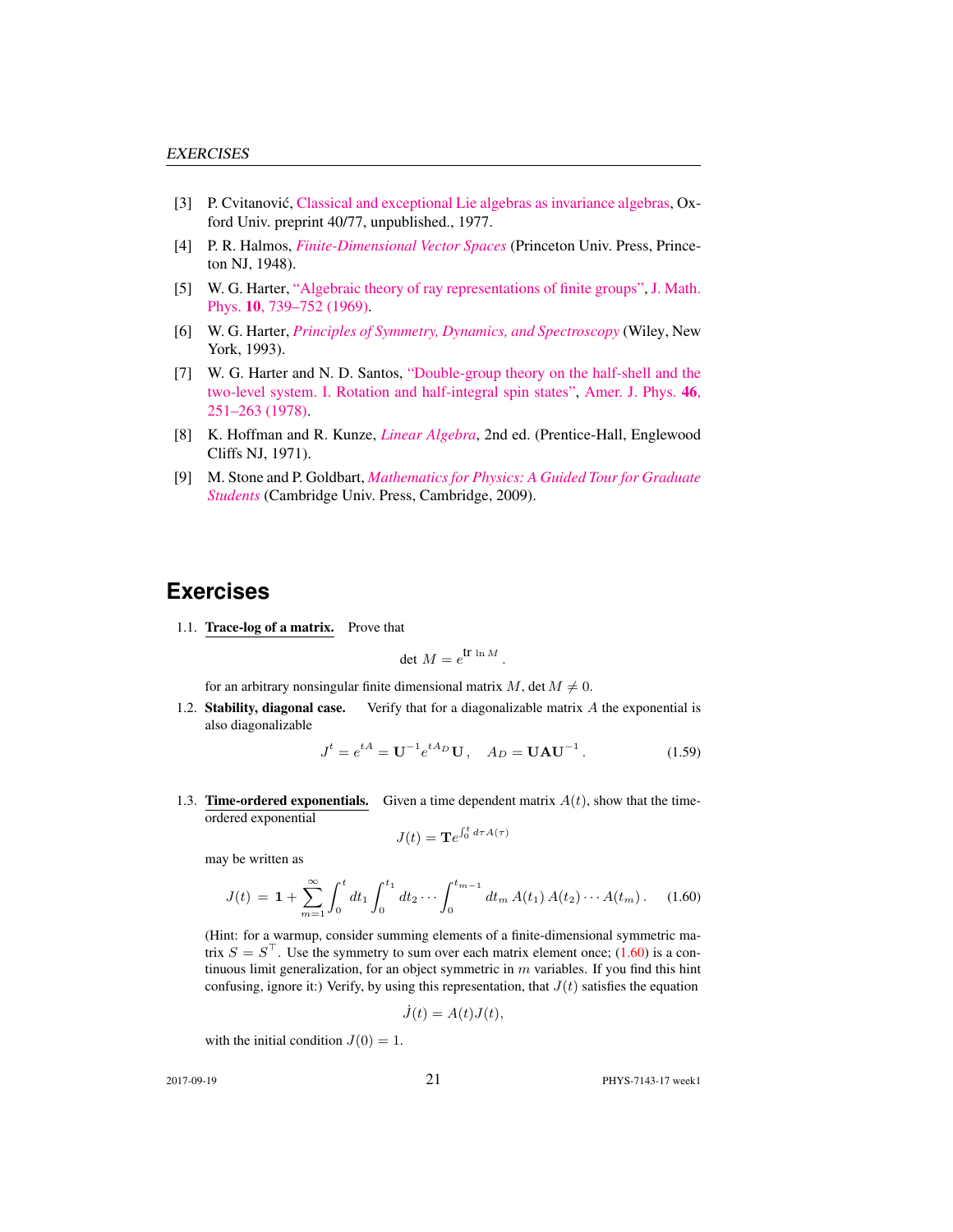- [3] P. Cvitanović, [Classical and exceptional Lie algebras as invariance algebras,](http://birdtracks.eu/refs/OxfordPrepr.pdf) Oxford Univ. preprint 40/77, unpublished., 1977.
- [4] P. R. Halmos, *[Finite-Dimensional Vector Spaces](http://books.google.com/books?vid=ISBN9780691090955)* (Princeton Univ. Press, Princeton NJ, 1948).
- [5] W. G. Harter, ["Algebraic theory of ray representations of finite groups",](http://dx.doi.org/10.1063/1.1664901) [J. Math.](http://dx.doi.org/10.1063/1.1664901) Phys. 10[, 739–752 \(1969\).](http://dx.doi.org/10.1063/1.1664901)
- [6] W. G. Harter, *[Principles of Symmetry, Dynamics, and Spectroscopy](http://www.uark.edu/ua/modphys/markup/PSDS_Info.html)* (Wiley, New York, 1993).
- [7] W. G. Harter and N. D. Santos, ["Double-group theory on the half-shell and the](http://dx.doi.org/10.1119/1.11134) [two-level system. I. Rotation and half-integral spin states",](http://dx.doi.org/10.1119/1.11134) [Amer. J. Phys.](http://dx.doi.org/10.1119/1.11134) 46, [251–263 \(1978\).](http://dx.doi.org/10.1119/1.11134)
- [8] K. Hoffman and R. Kunze, *[Linear Algebra](http://dx.doi.org/10.2307/3617032)*, 2nd ed. (Prentice-Hall, Englewood Cliffs NJ, 1971).
- [9] M. Stone and P. Goldbart, *[Mathematics for Physics: A Guided Tour for Graduate](http://dx.doi.org/10.1017/cbo9780511627040) [Students](http://dx.doi.org/10.1017/cbo9780511627040)* (Cambridge Univ. Press, Cambridge, 2009).

## **Exercises**

1.1. Trace-log of a matrix. Prove that

$$
\det\,M=e^{\mbox{tr}\,\ln M}\,.
$$

for an arbitrary nonsingular finite dimensional matrix  $M$ , det  $M \neq 0$ .

1.2. Stability, diagonal case. Verify that for a diagonalizable matrix  $A$  the exponential is also diagonalizable

$$
J^{t} = e^{tA} = U^{-1} e^{tA_D} U, \quad A_D = UAU^{-1}.
$$
 (1.59)

1.3. **Time-ordered exponentials.** Given a time dependent matrix  $A(t)$ , show that the timeordered exponential

$$
J(t) = \mathbf{T}e^{\int_0^t d\tau A(\tau)}
$$

may be written as

$$
J(t) = \mathbf{1} + \sum_{m=1}^{\infty} \int_0^t dt_1 \int_0^{t_1} dt_2 \cdots \int_0^{t_{m-1}} dt_m A(t_1) A(t_2) \cdots A(t_m).
$$
 (1.60)

(Hint: for a warmup, consider summing elements of a finite-dimensional symmetric matrix  $S = S^{\top}$ . Use the symmetry to sum over each matrix element once; (1.60) is a continuous limit generalization, for an object symmetric in  $m$  variables. If you find this hint confusing, ignore it:) Verify, by using this representation, that  $J(t)$  satisfies the equation

$$
\dot{J}(t) = A(t)J(t),
$$

with the initial condition  $J(0) = 1$ .

21 **PHYS-7143-17** week1